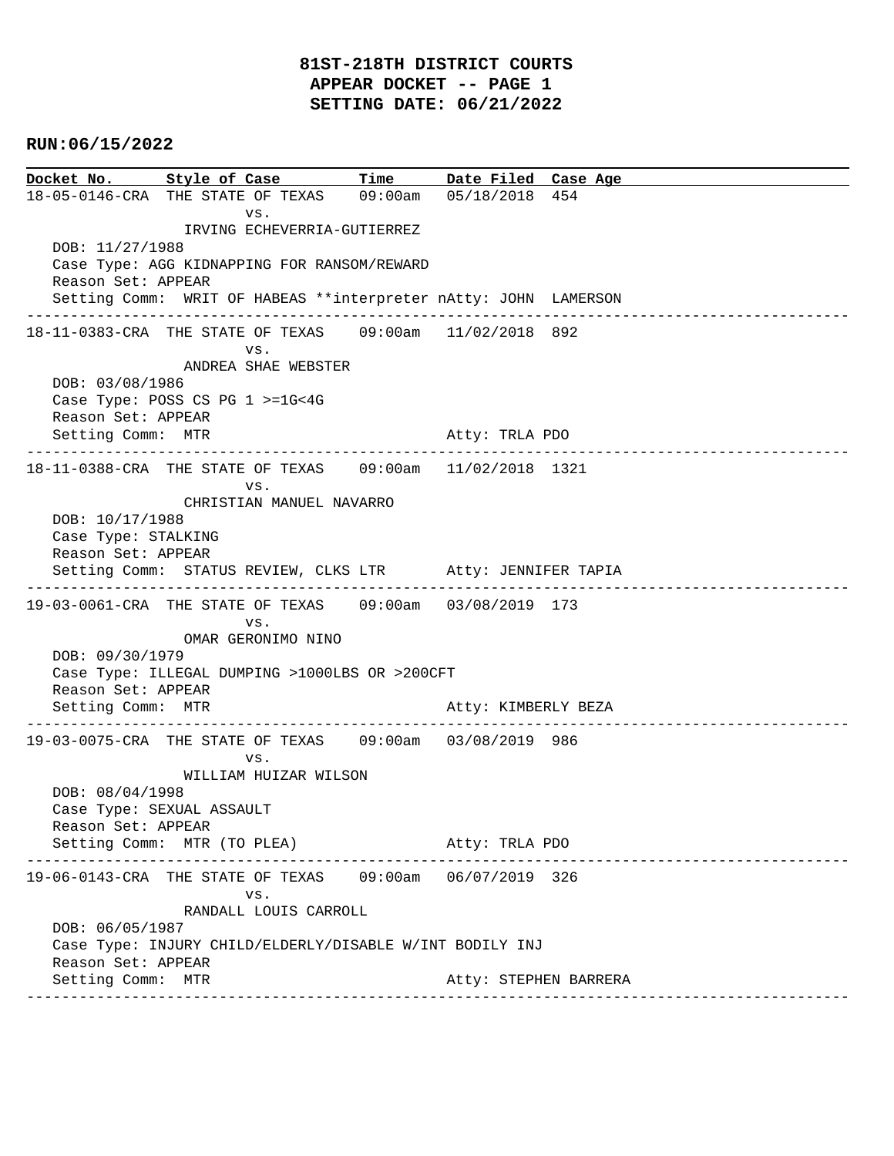# **81ST-218TH DISTRICT COURTS APPEAR DOCKET -- PAGE 1 SETTING DATE: 06/21/2022**

# **RUN:06/15/2022**

**Docket No. Style of Case Time Date Filed Case Age**  18-05-0146-CRA THE STATE OF TEXAS 09:00am 05/18/2018 454 vs. IRVING ECHEVERRIA-GUTIERREZ DOB: 11/27/1988 Case Type: AGG KIDNAPPING FOR RANSOM/REWARD Reason Set: APPEAR Setting Comm: WRIT OF HABEAS \*\*interpreter nAtty: JOHN LAMERSON ---------------------------------------------------------------------------------------------- 18-11-0383-CRA THE STATE OF TEXAS 09:00am 11/02/2018 892 vs. ANDREA SHAE WEBSTER DOB: 03/08/1986 Case Type: POSS CS PG 1 >=1G<4G Reason Set: APPEAR Setting Comm: MTR Atty: TRLA PDO ---------------------------------------------------------------------------------------------- 18-11-0388-CRA THE STATE OF TEXAS 09:00am 11/02/2018 1321 vs. CHRISTIAN MANUEL NAVARRO DOB: 10/17/1988 Case Type: STALKING Reason Set: APPEAR Setting Comm: STATUS REVIEW, CLKS LTR Atty: JENNIFER TAPIA ---------------------------------------------------------------------------------------------- 19-03-0061-CRA THE STATE OF TEXAS 09:00am 03/08/2019 173 vs. OMAR GERONIMO NINO DOB: 09/30/1979 Case Type: ILLEGAL DUMPING >1000LBS OR >200CFT Reason Set: APPEAR Setting Comm: MTR **Atty: KIMBERLY BEZA** ---------------------------------------------------------------------------------------------- 19-03-0075-CRA THE STATE OF TEXAS 09:00am 03/08/2019 986 vs. WILLIAM HUIZAR WILSON DOB: 08/04/1998 Case Type: SEXUAL ASSAULT Reason Set: APPEAR Setting Comm: MTR (TO PLEA) Atty: TRLA PDO ---------------------------------------------------------------------------------------------- 19-06-0143-CRA THE STATE OF TEXAS 09:00am 06/07/2019 326 vs. RANDALL LOUIS CARROLL DOB: 06/05/1987 Case Type: INJURY CHILD/ELDERLY/DISABLE W/INT BODILY INJ Reason Set: APPEAR Setting Comm: MTR Atty: STEPHEN BARRERA ----------------------------------------------------------------------------------------------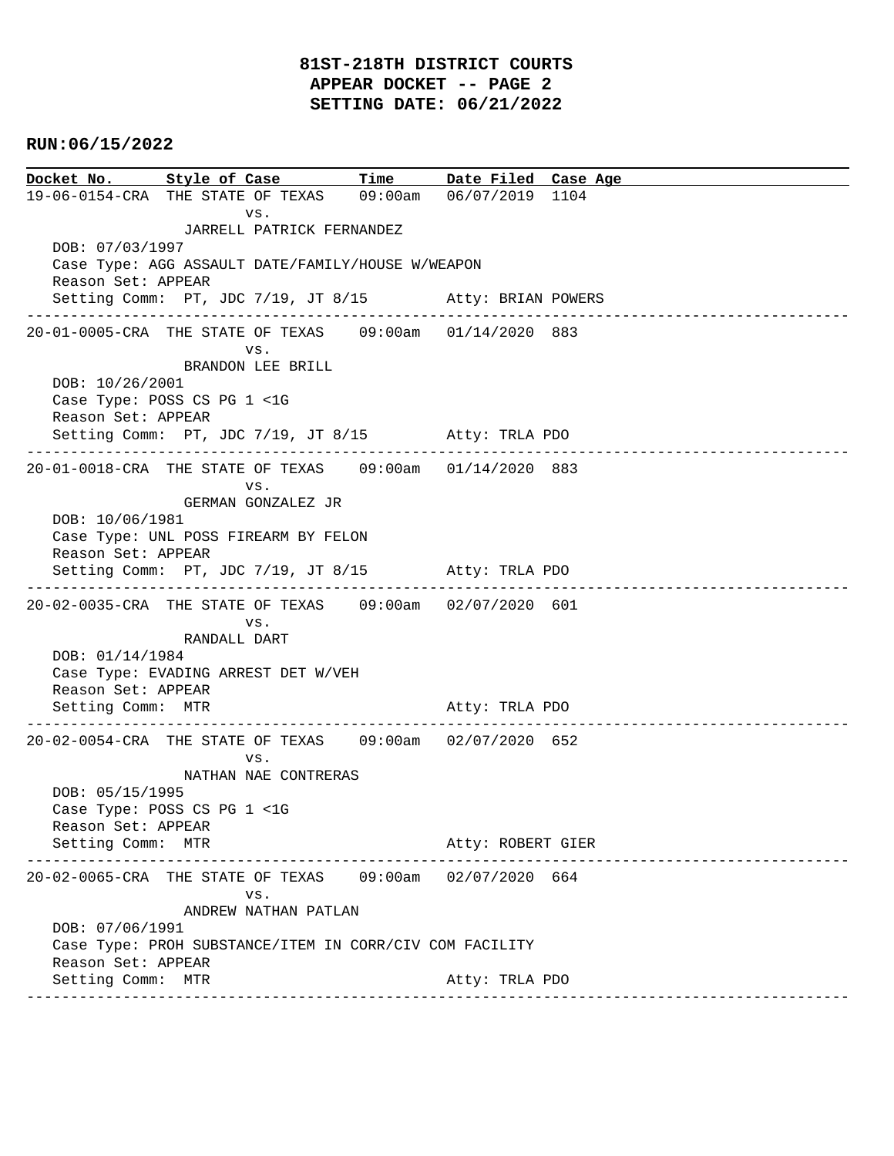# **81ST-218TH DISTRICT COURTS APPEAR DOCKET -- PAGE 2 SETTING DATE: 06/21/2022**

# **RUN:06/15/2022**

**Docket No.** Style of Case Time Date Filed Case Age 19-06-0154-CRA THE STATE OF TEXAS 09:00am 06/07/2019 1104 vs. JARRELL PATRICK FERNANDEZ DOB: 07/03/1997 Case Type: AGG ASSAULT DATE/FAMILY/HOUSE W/WEAPON Reason Set: APPEAR Setting Comm: PT, JDC 7/19, JT 8/15 Atty: BRIAN POWERS ---------------------------------------------------------------------------------------------- 20-01-0005-CRA THE STATE OF TEXAS 09:00am 01/14/2020 883 vs. BRANDON LEE BRILL DOB: 10/26/2001 Case Type: POSS CS PG 1 <1G Reason Set: APPEAR Setting Comm: PT, JDC 7/19, JT 8/15 Atty: TRLA PDO ---------------------------------------------------------------------------------------------- 20-01-0018-CRA THE STATE OF TEXAS 09:00am 01/14/2020 883 vs. GERMAN GONZALEZ JR DOB: 10/06/1981 Case Type: UNL POSS FIREARM BY FELON Reason Set: APPEAR Setting Comm: PT, JDC 7/19, JT 8/15 Atty: TRLA PDO ---------------------------------------------------------------------------------------------- 20-02-0035-CRA THE STATE OF TEXAS 09:00am 02/07/2020 601 vs. RANDALL DART DOB: 01/14/1984 Case Type: EVADING ARREST DET W/VEH Reason Set: APPEAR Setting Comm: MTR Atty: TRLA PDO ---------------------------------------------------------------------------------------------- 20-02-0054-CRA THE STATE OF TEXAS 09:00am 02/07/2020 652 vs. NATHAN NAE CONTRERAS DOB: 05/15/1995 Case Type: POSS CS PG 1 <1G Reason Set: APPEAR Setting Comm: MTR Atty: ROBERT GIER ---------------------------------------------------------------------------------------------- 20-02-0065-CRA THE STATE OF TEXAS 09:00am 02/07/2020 664 vs. ANDREW NATHAN PATLAN DOB: 07/06/1991 Case Type: PROH SUBSTANCE/ITEM IN CORR/CIV COM FACILITY Reason Set: APPEAR Setting Comm: MTR Atty: TRLA PDO ----------------------------------------------------------------------------------------------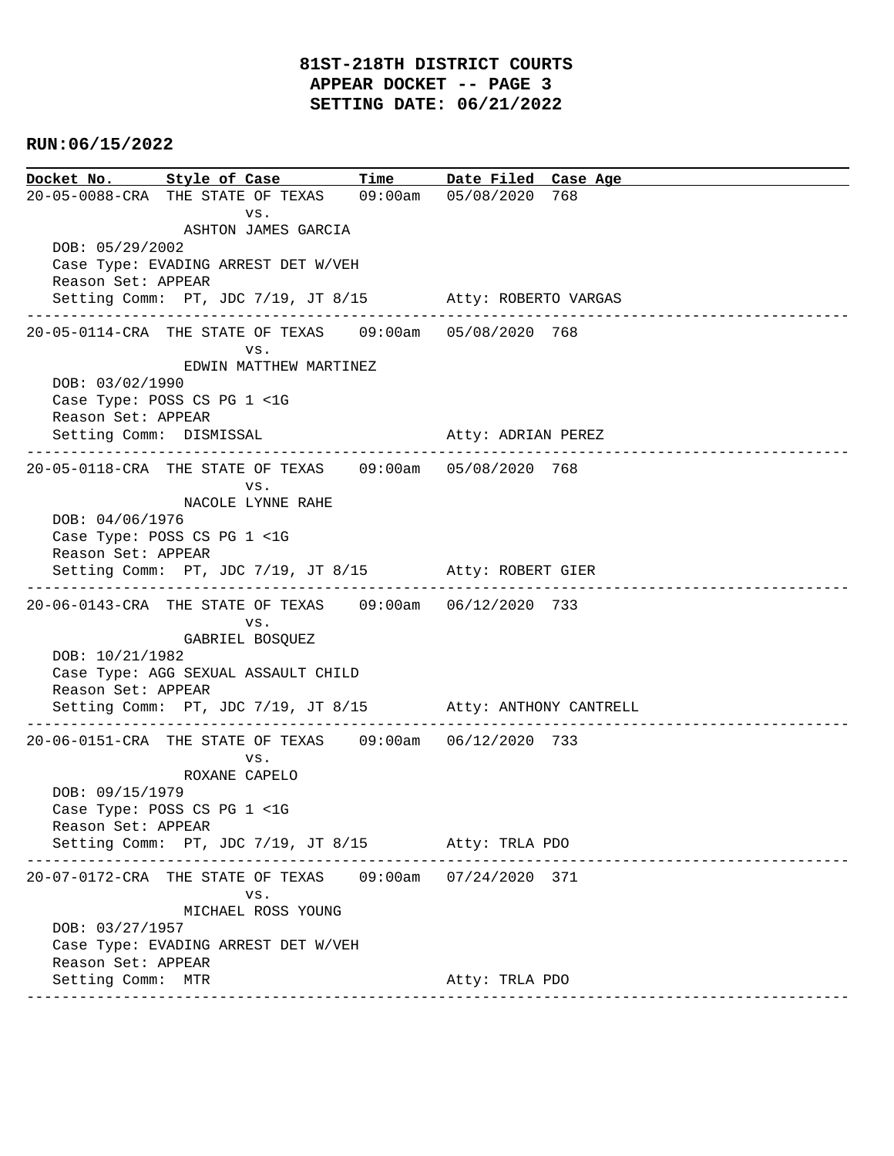**Docket No. Style of Case Time Date Filed Case Age**  20-05-0088-CRA THE STATE OF TEXAS 09:00am 05/08/2020 768 vs. ASHTON JAMES GARCIA DOB: 05/29/2002 Case Type: EVADING ARREST DET W/VEH Reason Set: APPEAR Setting Comm: PT, JDC 7/19, JT 8/15 Atty: ROBERTO VARGAS ---------------------------------------------------------------------------------------------- 20-05-0114-CRA THE STATE OF TEXAS 09:00am 05/08/2020 768 vs. EDWIN MATTHEW MARTINEZ DOB: 03/02/1990 Case Type: POSS CS PG 1 <1G Reason Set: APPEAR Setting Comm: DISMISSAL Atty: ADRIAN PEREZ ---------------------------------------------------------------------------------------------- 20-05-0118-CRA THE STATE OF TEXAS 09:00am 05/08/2020 768 vs. NACOLE LYNNE RAHE DOB: 04/06/1976 Case Type: POSS CS PG 1 <1G Reason Set: APPEAR Setting Comm: PT, JDC 7/19, JT 8/15 Atty: ROBERT GIER ---------------------------------------------------------------------------------------------- 20-06-0143-CRA THE STATE OF TEXAS 09:00am 06/12/2020 733 vs. GABRIEL BOSQUEZ DOB: 10/21/1982 Case Type: AGG SEXUAL ASSAULT CHILD Reason Set: APPEAR Setting Comm: PT, JDC 7/19, JT 8/15 Atty: ANTHONY CANTRELL ---------------------------------------------------------------------------------------------- 20-06-0151-CRA THE STATE OF TEXAS 09:00am 06/12/2020 733 vs. ROXANE CAPELO DOB: 09/15/1979 Case Type: POSS CS PG 1 <1G Reason Set: APPEAR Setting Comm: PT, JDC 7/19, JT 8/15 Atty: TRLA PDO ---------------------------------------------------------------------------------------------- 20-07-0172-CRA THE STATE OF TEXAS 09:00am 07/24/2020 371 vs. MICHAEL ROSS YOUNG DOB: 03/27/1957 Case Type: EVADING ARREST DET W/VEH Reason Set: APPEAR Setting Comm: MTR Atty: TRLA PDO ----------------------------------------------------------------------------------------------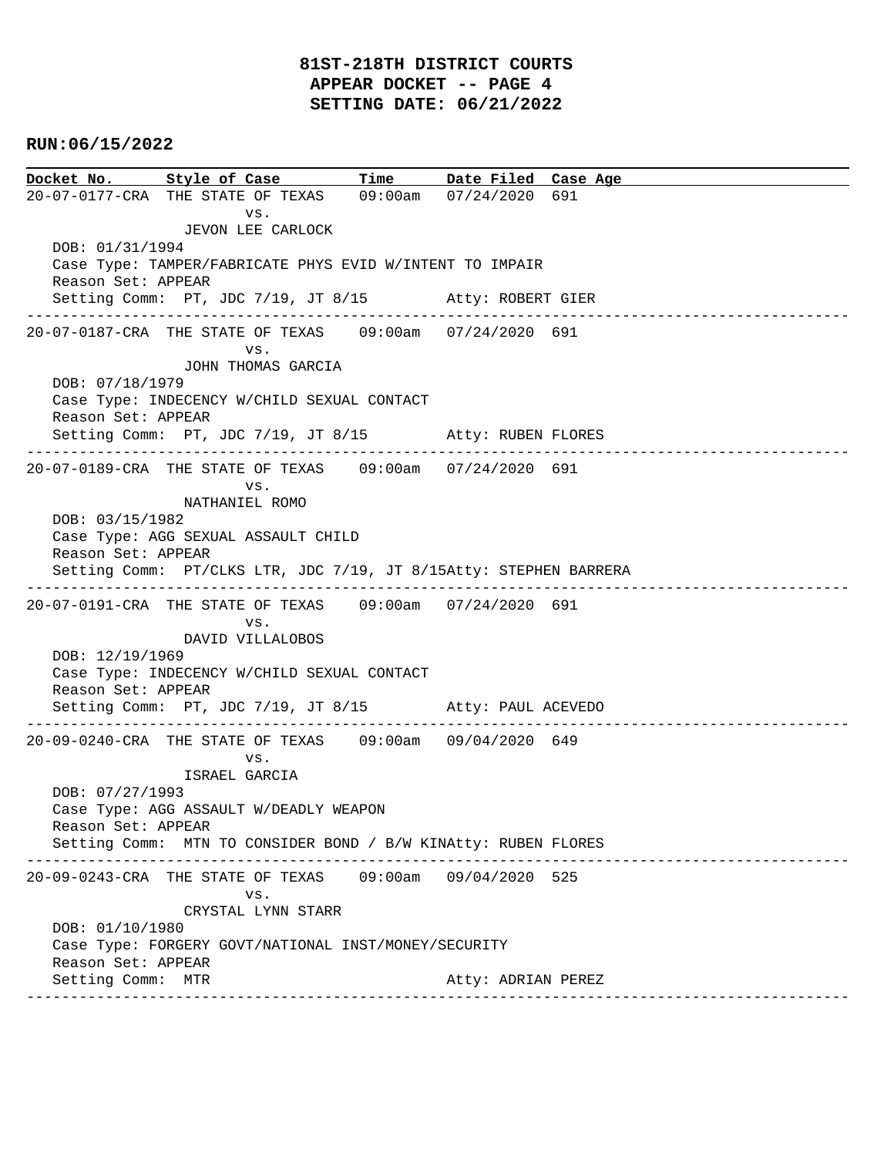# **81ST-218TH DISTRICT COURTS APPEAR DOCKET -- PAGE 4 SETTING DATE: 06/21/2022**

# **RUN:06/15/2022**

**Docket No. Style of Case Time Date Filed Case Age**  20-07-0177-CRA THE STATE OF TEXAS 09:00am 07/24/2020 691 vs. JEVON LEE CARLOCK DOB: 01/31/1994 Case Type: TAMPER/FABRICATE PHYS EVID W/INTENT TO IMPAIR Reason Set: APPEAR Setting Comm: PT, JDC 7/19, JT 8/15 Atty: ROBERT GIER ---------------------------------------------------------------------------------------------- 20-07-0187-CRA THE STATE OF TEXAS 09:00am 07/24/2020 691 vs. JOHN THOMAS GARCIA DOB: 07/18/1979 Case Type: INDECENCY W/CHILD SEXUAL CONTACT Reason Set: APPEAR Setting Comm: PT, JDC 7/19, JT 8/15 Atty: RUBEN FLORES ---------------------------------------------------------------------------------------------- 20-07-0189-CRA THE STATE OF TEXAS 09:00am 07/24/2020 691 vs. NATHANIEL ROMO DOB: 03/15/1982 Case Type: AGG SEXUAL ASSAULT CHILD Reason Set: APPEAR Setting Comm: PT/CLKS LTR, JDC 7/19, JT 8/15Atty: STEPHEN BARRERA ---------------------------------------------------------------------------------------------- 20-07-0191-CRA THE STATE OF TEXAS 09:00am 07/24/2020 691 vs. DAVID VILLALOBOS DOB: 12/19/1969 Case Type: INDECENCY W/CHILD SEXUAL CONTACT Reason Set: APPEAR Setting Comm: PT, JDC 7/19, JT 8/15 Atty: PAUL ACEVEDO ---------------------------------------------------------------------------------------------- 20-09-0240-CRA THE STATE OF TEXAS 09:00am 09/04/2020 649 vs. ISRAEL GARCIA DOB: 07/27/1993 Case Type: AGG ASSAULT W/DEADLY WEAPON Reason Set: APPEAR Setting Comm: MTN TO CONSIDER BOND / B/W KINAtty: RUBEN FLORES ---------------------------------------------------------------------------------------------- 20-09-0243-CRA THE STATE OF TEXAS 09:00am 09/04/2020 525 vs. CRYSTAL LYNN STARR DOB: 01/10/1980 Case Type: FORGERY GOVT/NATIONAL INST/MONEY/SECURITY Reason Set: APPEAR Setting Comm: MTR Atty: ADRIAN PEREZ ----------------------------------------------------------------------------------------------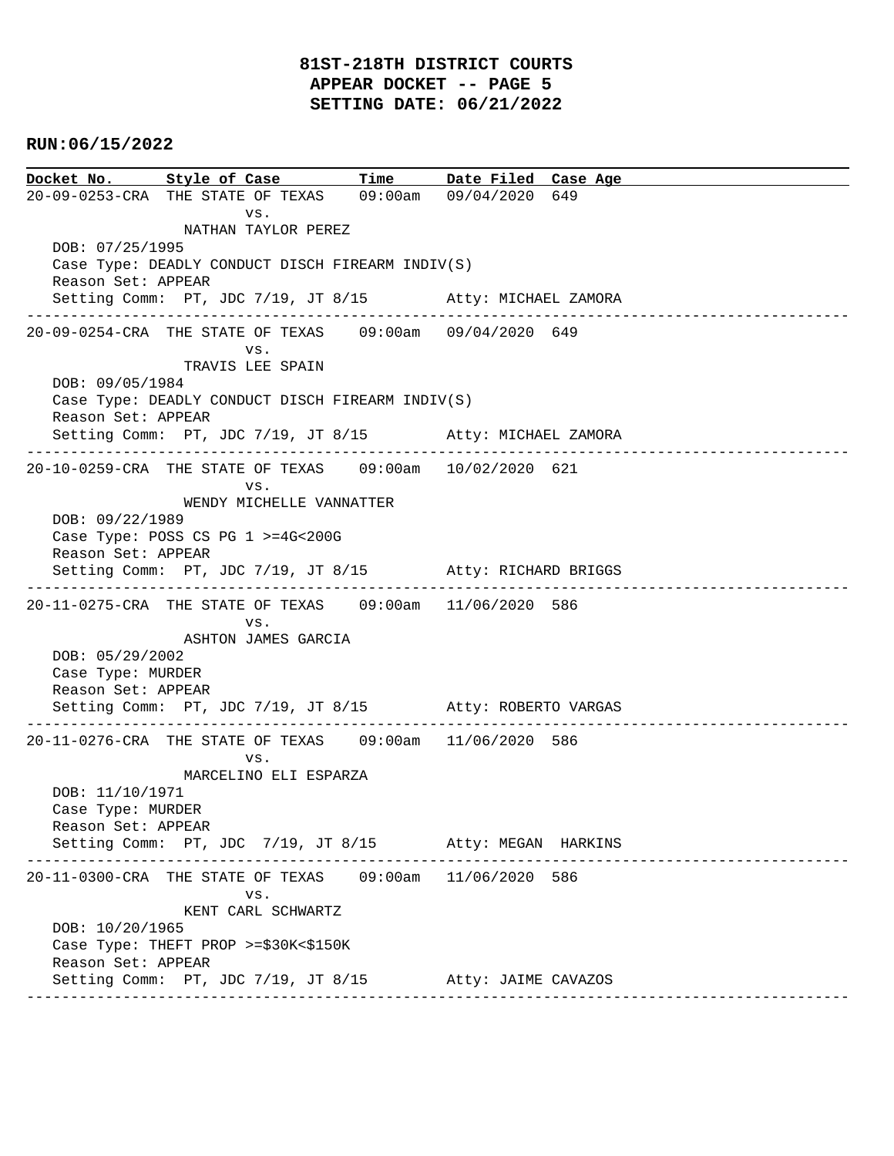**Docket No. Style of Case Time Date Filed Case Age**  20-09-0253-CRA THE STATE OF TEXAS 09:00am 09/04/2020 649 vs. NATHAN TAYLOR PEREZ DOB: 07/25/1995 Case Type: DEADLY CONDUCT DISCH FIREARM INDIV(S) Reason Set: APPEAR Setting Comm: PT, JDC 7/19, JT 8/15 Atty: MICHAEL ZAMORA ---------------------------------------------------------------------------------------------- 20-09-0254-CRA THE STATE OF TEXAS 09:00am 09/04/2020 649 vs. TRAVIS LEE SPAIN DOB: 09/05/1984 Case Type: DEADLY CONDUCT DISCH FIREARM INDIV(S) Reason Set: APPEAR Setting Comm: PT, JDC 7/19, JT 8/15 Atty: MICHAEL ZAMORA ---------------------------------------------------------------------------------------------- 20-10-0259-CRA THE STATE OF TEXAS 09:00am 10/02/2020 621 vs. WENDY MICHELLE VANNATTER DOB: 09/22/1989 Case Type: POSS CS PG 1 >=4G<200G Reason Set: APPEAR Setting Comm: PT, JDC 7/19, JT 8/15 Atty: RICHARD BRIGGS ---------------------------------------------------------------------------------------------- 20-11-0275-CRA THE STATE OF TEXAS 09:00am 11/06/2020 586 vs. ASHTON JAMES GARCIA DOB: 05/29/2002 Case Type: MURDER Reason Set: APPEAR Setting Comm: PT, JDC 7/19, JT 8/15 Atty: ROBERTO VARGAS ---------------------------------------------------------------------------------------------- 20-11-0276-CRA THE STATE OF TEXAS 09:00am 11/06/2020 586 vs. MARCELINO ELI ESPARZA DOB: 11/10/1971 Case Type: MURDER Reason Set: APPEAR Setting Comm: PT, JDC 7/19, JT 8/15 Atty: MEGAN HARKINS ---------------------------------------------------------------------------------------------- 20-11-0300-CRA THE STATE OF TEXAS 09:00am 11/06/2020 586 vs. KENT CARL SCHWARTZ DOB: 10/20/1965 Case Type: THEFT PROP >=\$30K<\$150K Reason Set: APPEAR Setting Comm: PT, JDC 7/19, JT 8/15 Atty: JAIME CAVAZOS ----------------------------------------------------------------------------------------------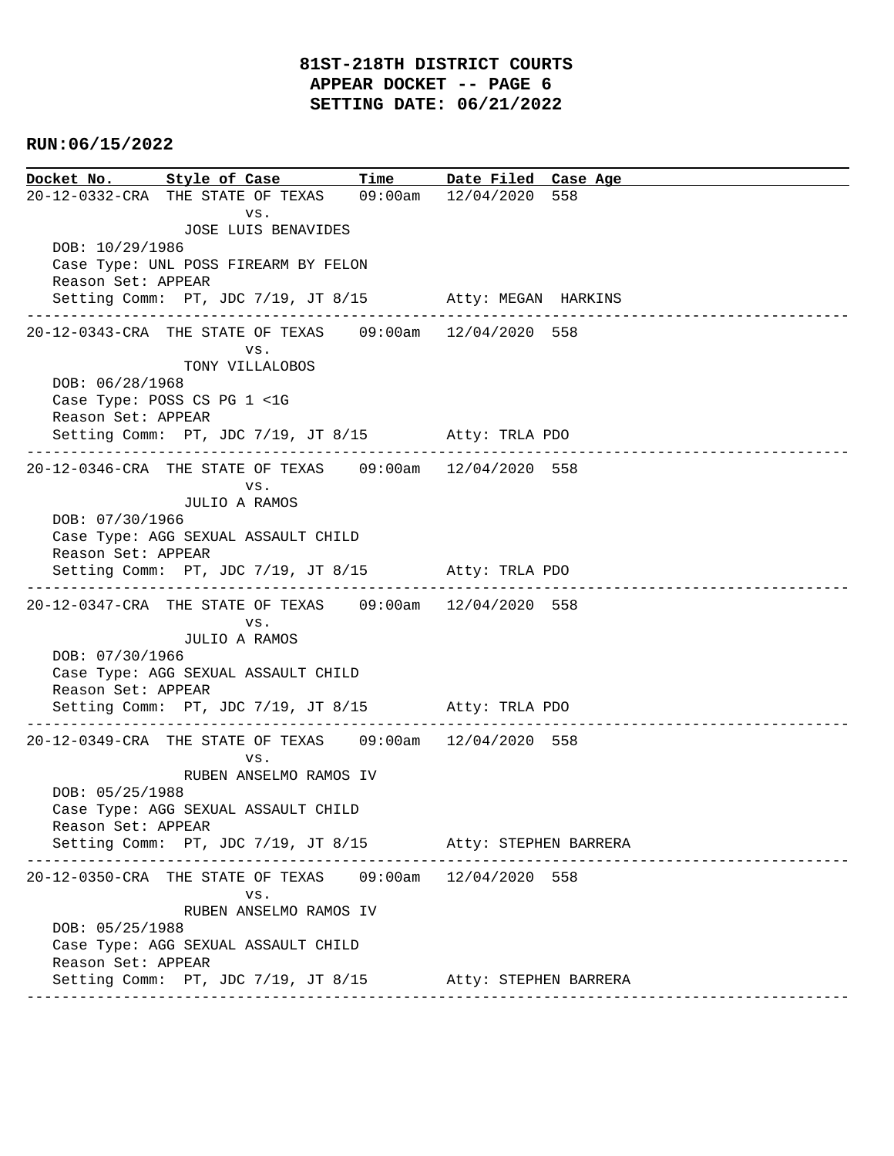**Docket No. Style of Case Time Date Filed Case Age**  20-12-0332-CRA THE STATE OF TEXAS 09:00am 12/04/2020 558 vs. JOSE LUIS BENAVIDES DOB: 10/29/1986 Case Type: UNL POSS FIREARM BY FELON Reason Set: APPEAR Setting Comm: PT, JDC 7/19, JT 8/15 Atty: MEGAN HARKINS ---------------------------------------------------------------------------------------------- 20-12-0343-CRA THE STATE OF TEXAS 09:00am 12/04/2020 558 vs. TONY VILLALOBOS DOB: 06/28/1968 Case Type: POSS CS PG 1 <1G Reason Set: APPEAR Setting Comm: PT, JDC 7/19, JT 8/15 Atty: TRLA PDO ---------------------------------------------------------------------------------------------- 20-12-0346-CRA THE STATE OF TEXAS 09:00am 12/04/2020 558 vs. JULIO A RAMOS DOB: 07/30/1966 Case Type: AGG SEXUAL ASSAULT CHILD Reason Set: APPEAR Setting Comm: PT, JDC 7/19, JT 8/15 Atty: TRLA PDO ---------------------------------------------------------------------------------------------- 20-12-0347-CRA THE STATE OF TEXAS 09:00am 12/04/2020 558 vs. JULIO A RAMOS DOB: 07/30/1966 Case Type: AGG SEXUAL ASSAULT CHILD Reason Set: APPEAR Setting Comm: PT, JDC 7/19, JT 8/15 Atty: TRLA PDO ---------------------------------------------------------------------------------------------- 20-12-0349-CRA THE STATE OF TEXAS 09:00am 12/04/2020 558 vs. RUBEN ANSELMO RAMOS IV DOB: 05/25/1988 Case Type: AGG SEXUAL ASSAULT CHILD Reason Set: APPEAR Setting Comm: PT, JDC 7/19, JT 8/15 Atty: STEPHEN BARRERA ---------------------------------------------------------------------------------------------- 20-12-0350-CRA THE STATE OF TEXAS 09:00am 12/04/2020 558 vs. RUBEN ANSELMO RAMOS IV DOB: 05/25/1988 Case Type: AGG SEXUAL ASSAULT CHILD Reason Set: APPEAR Setting Comm: PT, JDC 7/19, JT 8/15 Atty: STEPHEN BARRERA ----------------------------------------------------------------------------------------------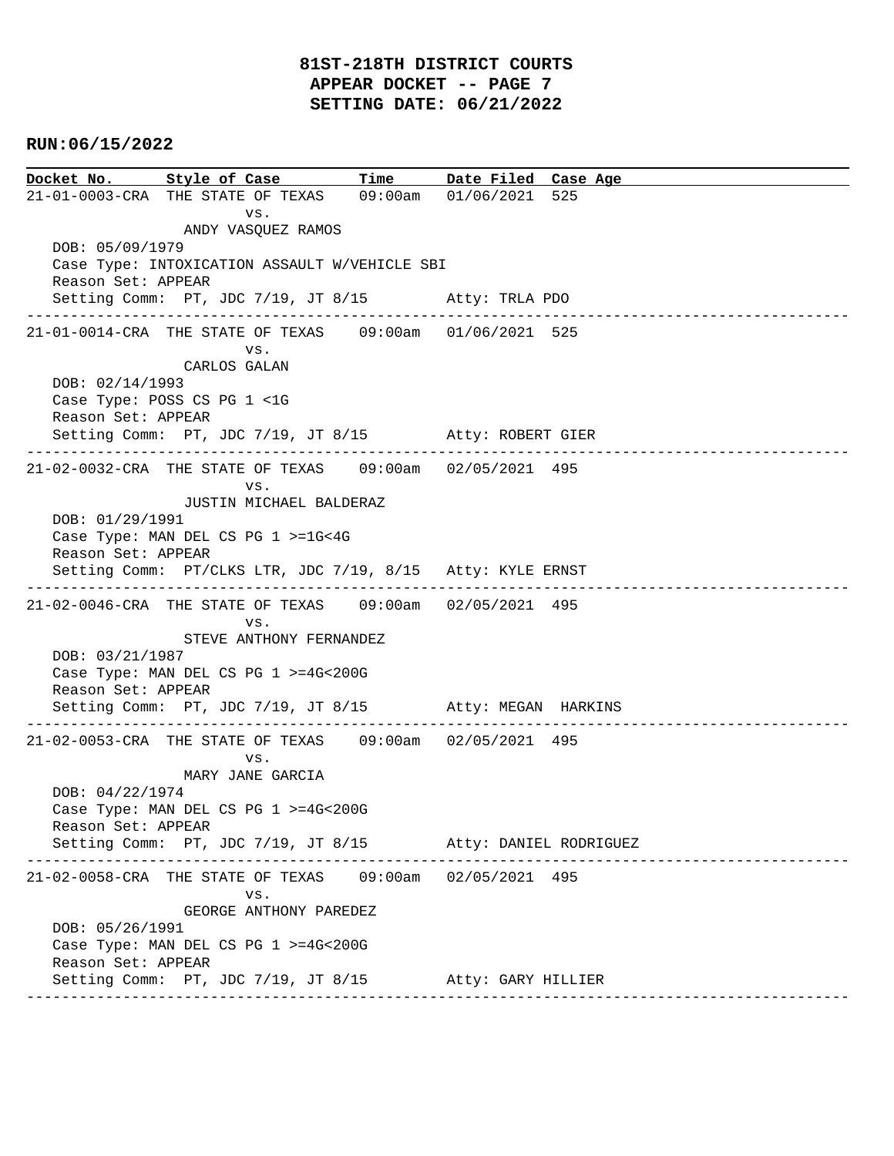**Docket No. Style of Case Time Date Filed Case Age**  21-01-0003-CRA THE STATE OF TEXAS 09:00am 01/06/2021 525 vs. ANDY VASQUEZ RAMOS DOB: 05/09/1979 Case Type: INTOXICATION ASSAULT W/VEHICLE SBI Reason Set: APPEAR Setting Comm: PT, JDC 7/19, JT 8/15 Atty: TRLA PDO ---------------------------------------------------------------------------------------------- 21-01-0014-CRA THE STATE OF TEXAS 09:00am 01/06/2021 525 vs. CARLOS GALAN DOB: 02/14/1993 Case Type: POSS CS PG 1 <1G Reason Set: APPEAR Setting Comm: PT, JDC 7/19, JT 8/15 Atty: ROBERT GIER ---------------------------------------------------------------------------------------------- 21-02-0032-CRA THE STATE OF TEXAS 09:00am 02/05/2021 495 vs. JUSTIN MICHAEL BALDERAZ DOB: 01/29/1991 Case Type: MAN DEL CS PG 1 >=1G<4G Reason Set: APPEAR Setting Comm: PT/CLKS LTR, JDC 7/19, 8/15 Atty: KYLE ERNST ---------------------------------------------------------------------------------------------- 21-02-0046-CRA THE STATE OF TEXAS 09:00am 02/05/2021 495 vs. STEVE ANTHONY FERNANDEZ DOB: 03/21/1987 Case Type: MAN DEL CS PG 1 >=4G<200G Reason Set: APPEAR Setting Comm: PT, JDC 7/19, JT 8/15 Atty: MEGAN HARKINS ---------------------------------------------------------------------------------------------- 21-02-0053-CRA THE STATE OF TEXAS 09:00am 02/05/2021 495 vs. MARY JANE GARCIA DOB: 04/22/1974 Case Type: MAN DEL CS PG 1 >=4G<200G Reason Set: APPEAR Setting Comm: PT, JDC 7/19, JT 8/15 Atty: DANIEL RODRIGUEZ ---------------------------------------------------------------------------------------------- 21-02-0058-CRA THE STATE OF TEXAS 09:00am 02/05/2021 495 vs. GEORGE ANTHONY PAREDEZ DOB: 05/26/1991 Case Type: MAN DEL CS PG 1 >=4G<200G Reason Set: APPEAR Setting Comm: PT, JDC 7/19, JT 8/15 Atty: GARY HILLIER ----------------------------------------------------------------------------------------------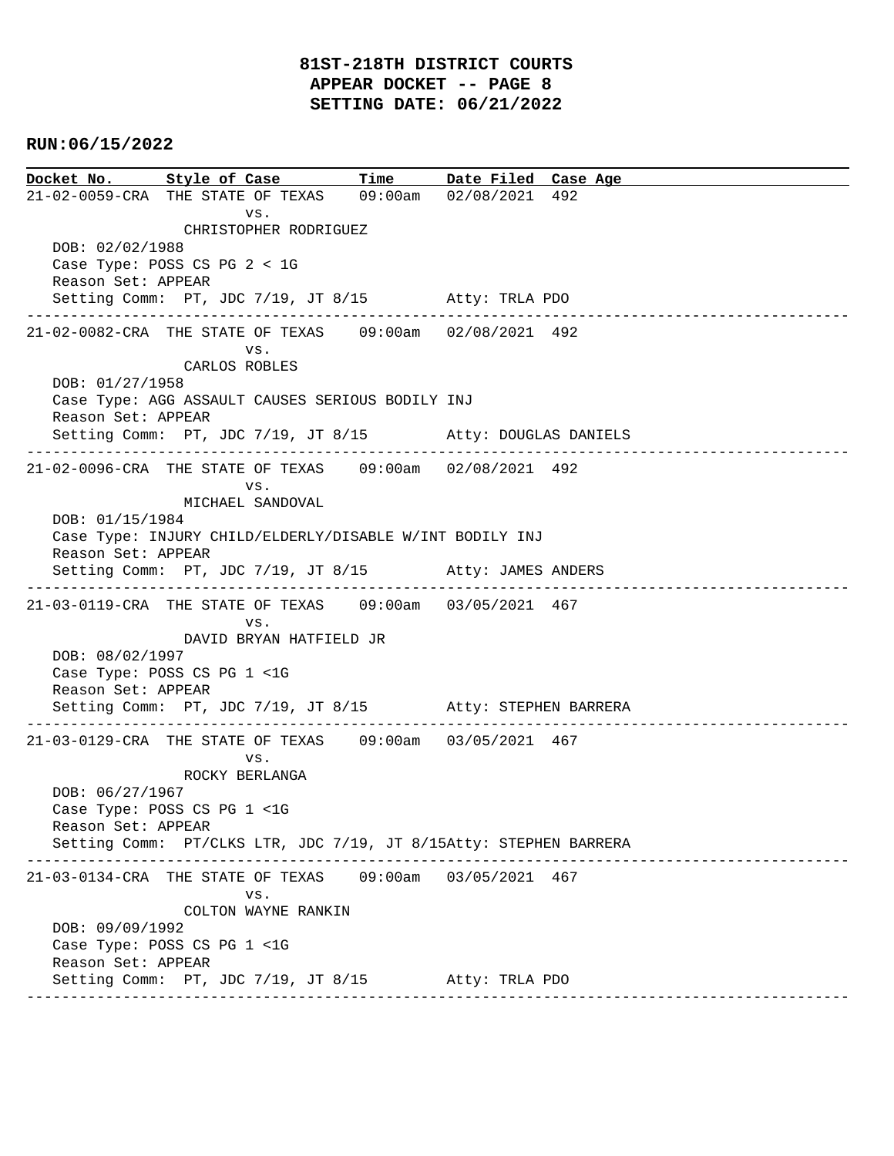**Docket No. Style of Case Time Date Filed Case Age**  21-02-0059-CRA THE STATE OF TEXAS 09:00am 02/08/2021 492 vs. CHRISTOPHER RODRIGUEZ DOB: 02/02/1988 Case Type: POSS CS PG 2 < 1G Reason Set: APPEAR Setting Comm: PT, JDC 7/19, JT 8/15 Atty: TRLA PDO ---------------------------------------------------------------------------------------------- 21-02-0082-CRA THE STATE OF TEXAS 09:00am 02/08/2021 492 vs. CARLOS ROBLES DOB: 01/27/1958 Case Type: AGG ASSAULT CAUSES SERIOUS BODILY INJ Reason Set: APPEAR Setting Comm: PT, JDC 7/19, JT 8/15 Atty: DOUGLAS DANIELS ---------------------------------------------------------------------------------------------- 21-02-0096-CRA THE STATE OF TEXAS 09:00am 02/08/2021 492 vs. MICHAEL SANDOVAL DOB: 01/15/1984 Case Type: INJURY CHILD/ELDERLY/DISABLE W/INT BODILY INJ Reason Set: APPEAR Setting Comm: PT, JDC 7/19, JT 8/15 Atty: JAMES ANDERS ---------------------------------------------------------------------------------------------- 21-03-0119-CRA THE STATE OF TEXAS 09:00am 03/05/2021 467 vs. DAVID BRYAN HATFIELD JR DOB: 08/02/1997 Case Type: POSS CS PG 1 <1G Reason Set: APPEAR Setting Comm: PT, JDC 7/19, JT 8/15 Atty: STEPHEN BARRERA ---------------------------------------------------------------------------------------------- 21-03-0129-CRA THE STATE OF TEXAS 09:00am 03/05/2021 467 vs. ROCKY BERLANGA DOB: 06/27/1967 Case Type: POSS CS PG 1 <1G Reason Set: APPEAR Setting Comm: PT/CLKS LTR, JDC 7/19, JT 8/15Atty: STEPHEN BARRERA ---------------------------------------------------------------------------------------------- 21-03-0134-CRA THE STATE OF TEXAS 09:00am 03/05/2021 467 vs. COLTON WAYNE RANKIN DOB: 09/09/1992 Case Type: POSS CS PG 1 <1G Reason Set: APPEAR Setting Comm: PT, JDC 7/19, JT 8/15 Atty: TRLA PDO ----------------------------------------------------------------------------------------------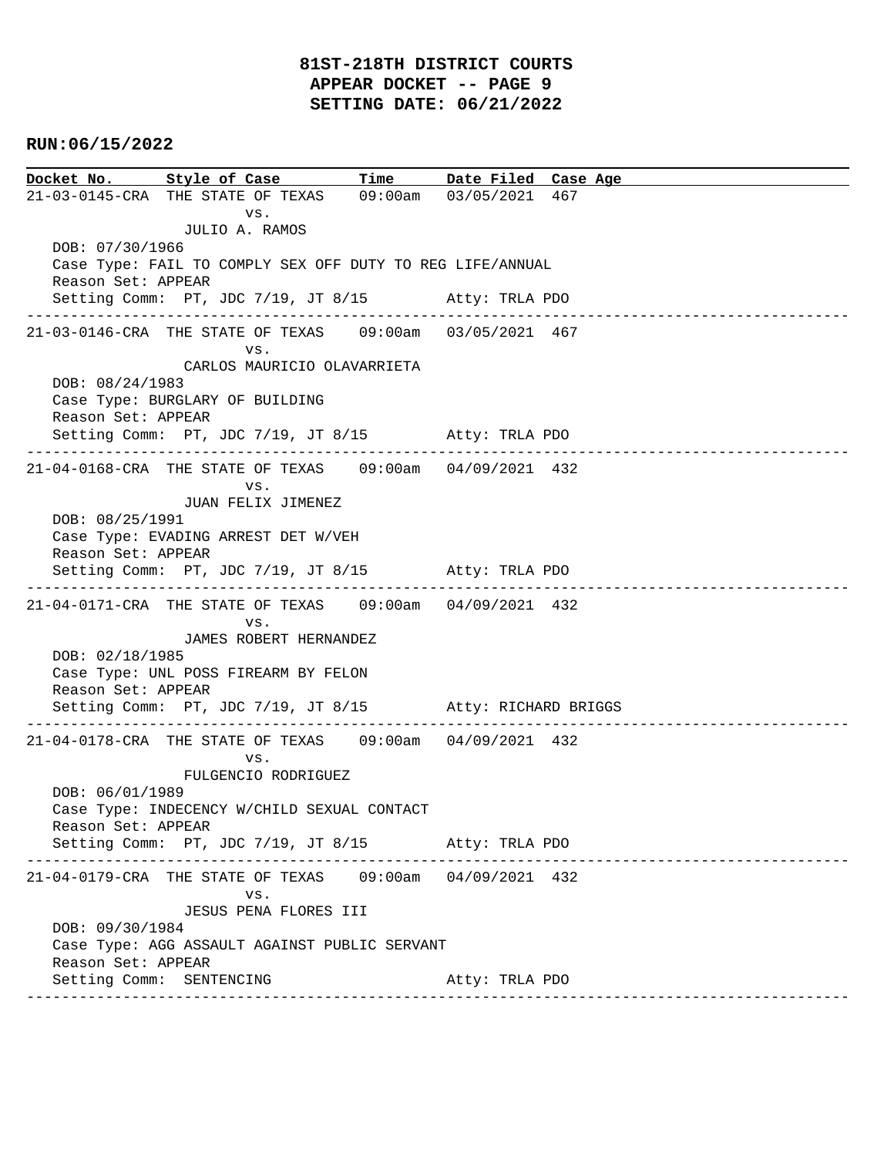# **81ST-218TH DISTRICT COURTS APPEAR DOCKET -- PAGE 9 SETTING DATE: 06/21/2022**

# **RUN:06/15/2022**

**Docket No. Style of Case Time Date Filed Case Age**  21-03-0145-CRA THE STATE OF TEXAS 09:00am 03/05/2021 467 vs. JULIO A. RAMOS DOB: 07/30/1966 Case Type: FAIL TO COMPLY SEX OFF DUTY TO REG LIFE/ANNUAL Reason Set: APPEAR Setting Comm: PT, JDC 7/19, JT 8/15 Atty: TRLA PDO ---------------------------------------------------------------------------------------------- 21-03-0146-CRA THE STATE OF TEXAS 09:00am 03/05/2021 467 vs. CARLOS MAURICIO OLAVARRIETA DOB: 08/24/1983 Case Type: BURGLARY OF BUILDING Reason Set: APPEAR Setting Comm: PT, JDC 7/19, JT 8/15 Atty: TRLA PDO ---------------------------------------------------------------------------------------------- 21-04-0168-CRA THE STATE OF TEXAS 09:00am 04/09/2021 432 vs. JUAN FELIX JIMENEZ DOB: 08/25/1991 Case Type: EVADING ARREST DET W/VEH Reason Set: APPEAR Setting Comm: PT, JDC 7/19, JT 8/15 Atty: TRLA PDO ---------------------------------------------------------------------------------------------- 21-04-0171-CRA THE STATE OF TEXAS 09:00am 04/09/2021 432 vs. JAMES ROBERT HERNANDEZ DOB: 02/18/1985 Case Type: UNL POSS FIREARM BY FELON Reason Set: APPEAR Setting Comm: PT, JDC 7/19, JT 8/15 Atty: RICHARD BRIGGS ---------------------------------------------------------------------------------------------- 21-04-0178-CRA THE STATE OF TEXAS 09:00am 04/09/2021 432 vs. FULGENCIO RODRIGUEZ DOB: 06/01/1989 Case Type: INDECENCY W/CHILD SEXUAL CONTACT Reason Set: APPEAR Setting Comm: PT, JDC 7/19, JT 8/15 Atty: TRLA PDO ---------------------------------------------------------------------------------------------- 21-04-0179-CRA THE STATE OF TEXAS 09:00am 04/09/2021 432 vs. JESUS PENA FLORES III DOB: 09/30/1984 Case Type: AGG ASSAULT AGAINST PUBLIC SERVANT Reason Set: APPEAR Setting Comm: SENTENCING Atty: TRLA PDO ----------------------------------------------------------------------------------------------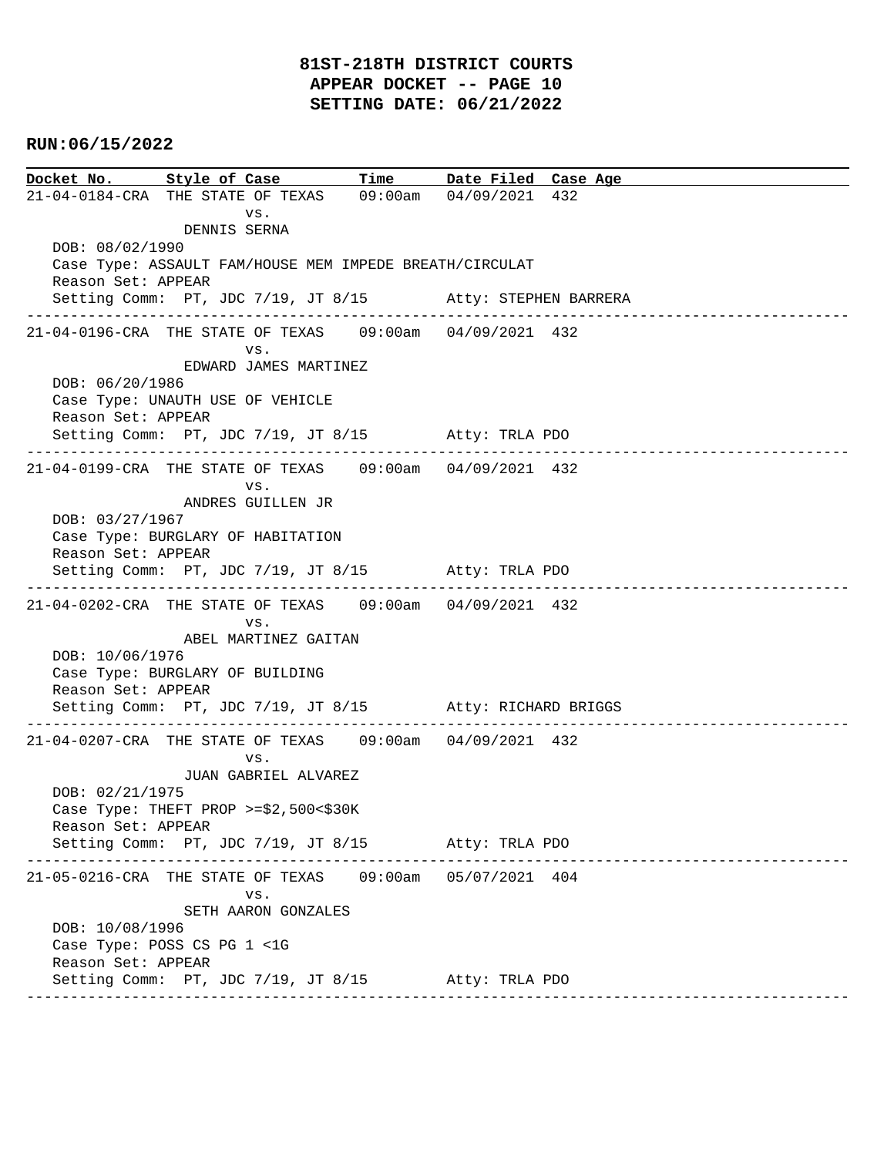# **81ST-218TH DISTRICT COURTS APPEAR DOCKET -- PAGE 10 SETTING DATE: 06/21/2022**

# **RUN:06/15/2022**

**Docket No. Style of Case Time Date Filed Case Age**  21-04-0184-CRA THE STATE OF TEXAS 09:00am 04/09/2021 432 vs. DENNIS SERNA DOB: 08/02/1990 Case Type: ASSAULT FAM/HOUSE MEM IMPEDE BREATH/CIRCULAT Reason Set: APPEAR Setting Comm: PT, JDC 7/19, JT 8/15 Atty: STEPHEN BARRERA ---------------------------------------------------------------------------------------------- 21-04-0196-CRA THE STATE OF TEXAS 09:00am 04/09/2021 432 vs. EDWARD JAMES MARTINEZ DOB: 06/20/1986 Case Type: UNAUTH USE OF VEHICLE Reason Set: APPEAR Setting Comm: PT, JDC 7/19, JT 8/15 Atty: TRLA PDO ---------------------------------------------------------------------------------------------- 21-04-0199-CRA THE STATE OF TEXAS 09:00am 04/09/2021 432 vs. ANDRES GUILLEN JR DOB: 03/27/1967 Case Type: BURGLARY OF HABITATION Reason Set: APPEAR Setting Comm: PT, JDC 7/19, JT 8/15 Atty: TRLA PDO ---------------------------------------------------------------------------------------------- 21-04-0202-CRA THE STATE OF TEXAS 09:00am 04/09/2021 432 vs. ABEL MARTINEZ GAITAN DOB: 10/06/1976 Case Type: BURGLARY OF BUILDING Reason Set: APPEAR Setting Comm: PT, JDC 7/19, JT 8/15 Atty: RICHARD BRIGGS ---------------------------------------------------------------------------------------------- 21-04-0207-CRA THE STATE OF TEXAS 09:00am 04/09/2021 432 vs. JUAN GABRIEL ALVAREZ DOB: 02/21/1975 Case Type: THEFT PROP >=\$2,500<\$30K Reason Set: APPEAR Setting Comm: PT, JDC 7/19, JT 8/15 Atty: TRLA PDO ---------------------------------------------------------------------------------------------- 21-05-0216-CRA THE STATE OF TEXAS 09:00am 05/07/2021 404 vs. SETH AARON GONZALES DOB: 10/08/1996 Case Type: POSS CS PG 1 <1G Reason Set: APPEAR Setting Comm: PT, JDC 7/19, JT 8/15 Atty: TRLA PDO ----------------------------------------------------------------------------------------------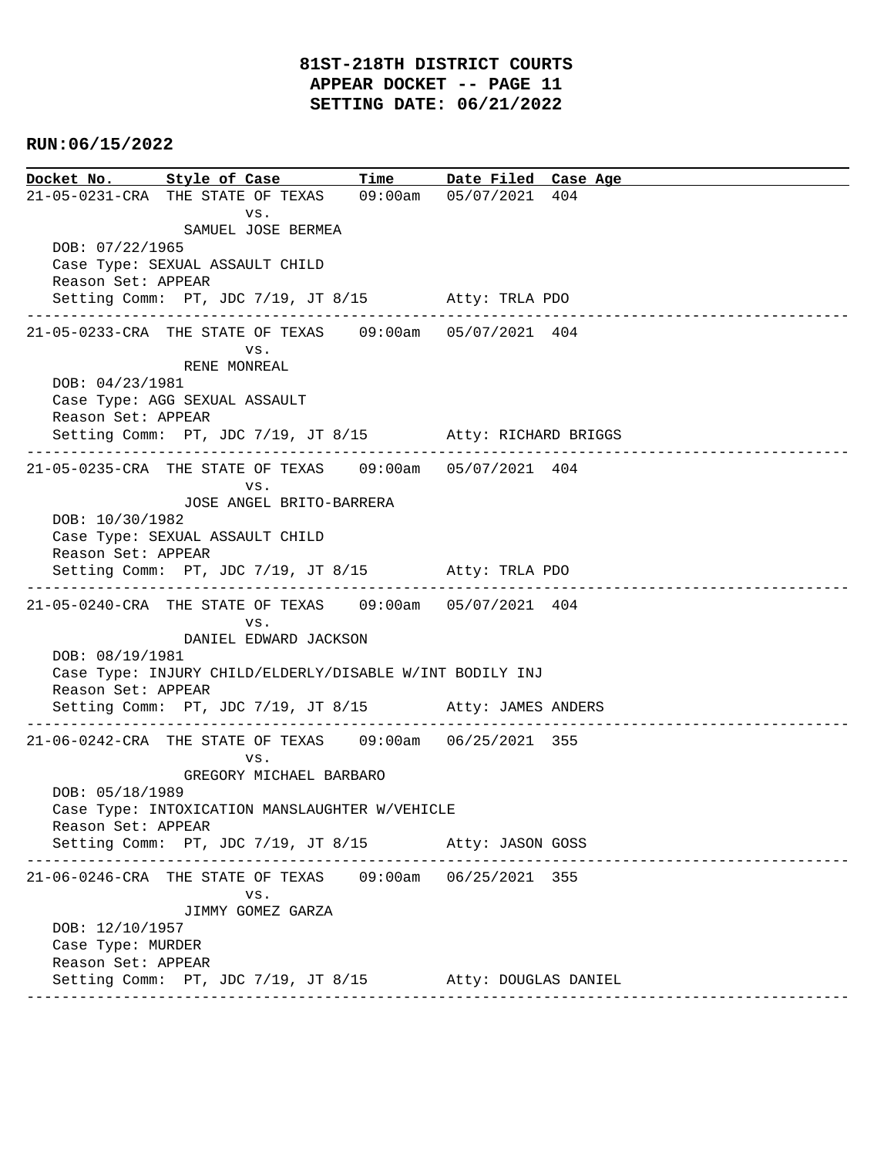**Docket No. Style of Case Time Date Filed Case Age**  21-05-0231-CRA THE STATE OF TEXAS 09:00am 05/07/2021 404 vs. SAMUEL JOSE BERMEA DOB: 07/22/1965 Case Type: SEXUAL ASSAULT CHILD Reason Set: APPEAR Setting Comm: PT, JDC 7/19, JT 8/15 Atty: TRLA PDO ---------------------------------------------------------------------------------------------- 21-05-0233-CRA THE STATE OF TEXAS 09:00am 05/07/2021 404 vs. RENE MONREAL DOB: 04/23/1981 Case Type: AGG SEXUAL ASSAULT Reason Set: APPEAR Setting Comm: PT, JDC 7/19, JT 8/15 Atty: RICHARD BRIGGS ---------------------------------------------------------------------------------------------- 21-05-0235-CRA THE STATE OF TEXAS 09:00am 05/07/2021 404 vs. JOSE ANGEL BRITO-BARRERA DOB: 10/30/1982 Case Type: SEXUAL ASSAULT CHILD Reason Set: APPEAR Setting Comm: PT, JDC 7/19, JT 8/15 Atty: TRLA PDO ---------------------------------------------------------------------------------------------- 21-05-0240-CRA THE STATE OF TEXAS 09:00am 05/07/2021 404 vs. DANIEL EDWARD JACKSON DOB: 08/19/1981 Case Type: INJURY CHILD/ELDERLY/DISABLE W/INT BODILY INJ Reason Set: APPEAR Setting Comm: PT, JDC 7/19, JT 8/15 Atty: JAMES ANDERS ---------------------------------------------------------------------------------------------- 21-06-0242-CRA THE STATE OF TEXAS 09:00am 06/25/2021 355 vs. GREGORY MICHAEL BARBARO DOB: 05/18/1989 Case Type: INTOXICATION MANSLAUGHTER W/VEHICLE Reason Set: APPEAR Setting Comm: PT, JDC 7/19, JT 8/15 Atty: JASON GOSS ---------------------------------------------------------------------------------------------- 21-06-0246-CRA THE STATE OF TEXAS 09:00am 06/25/2021 355 vs. JIMMY GOMEZ GARZA DOB: 12/10/1957 Case Type: MURDER Reason Set: APPEAR Setting Comm: PT, JDC 7/19, JT 8/15 Atty: DOUGLAS DANIEL ----------------------------------------------------------------------------------------------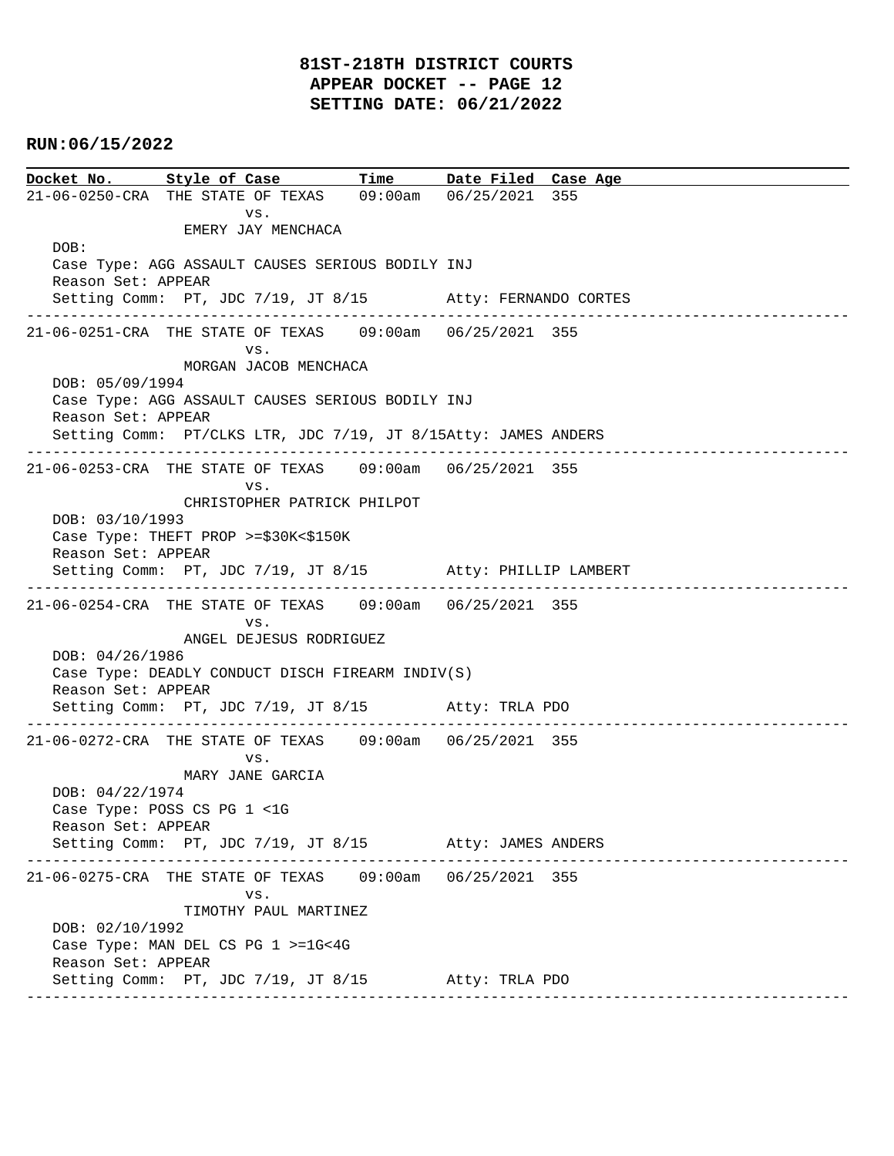# **81ST-218TH DISTRICT COURTS APPEAR DOCKET -- PAGE 12 SETTING DATE: 06/21/2022**

# **RUN:06/15/2022**

**Docket No. Style of Case Time Date Filed Case Age**  21-06-0250-CRA THE STATE OF TEXAS 09:00am 06/25/2021 355 vs. EMERY JAY MENCHACA DOB: Case Type: AGG ASSAULT CAUSES SERIOUS BODILY INJ Reason Set: APPEAR Setting Comm: PT, JDC 7/19, JT 8/15 Atty: FERNANDO CORTES ---------------------------------------------------------------------------------------------- 21-06-0251-CRA THE STATE OF TEXAS 09:00am 06/25/2021 355 vs. MORGAN JACOB MENCHACA DOB: 05/09/1994 Case Type: AGG ASSAULT CAUSES SERIOUS BODILY INJ Reason Set: APPEAR Setting Comm: PT/CLKS LTR, JDC 7/19, JT 8/15Atty: JAMES ANDERS ---------------------------------------------------------------------------------------------- 21-06-0253-CRA THE STATE OF TEXAS 09:00am 06/25/2021 355 vs. CHRISTOPHER PATRICK PHILPOT DOB: 03/10/1993 Case Type: THEFT PROP >=\$30K<\$150K Reason Set: APPEAR Setting Comm: PT, JDC 7/19, JT 8/15 Atty: PHILLIP LAMBERT ---------------------------------------------------------------------------------------------- 21-06-0254-CRA THE STATE OF TEXAS 09:00am 06/25/2021 355 vs. ANGEL DEJESUS RODRIGUEZ DOB: 04/26/1986 Case Type: DEADLY CONDUCT DISCH FIREARM INDIV(S) Reason Set: APPEAR Setting Comm: PT, JDC 7/19, JT 8/15 Atty: TRLA PDO ---------------------------------------------------------------------------------------------- 21-06-0272-CRA THE STATE OF TEXAS 09:00am 06/25/2021 355 vs. MARY JANE GARCIA DOB: 04/22/1974 Case Type: POSS CS PG 1 <1G Reason Set: APPEAR Setting Comm: PT, JDC 7/19, JT 8/15 Atty: JAMES ANDERS ---------------------------------------------------------------------------------------------- 21-06-0275-CRA THE STATE OF TEXAS 09:00am 06/25/2021 355 vs. TIMOTHY PAUL MARTINEZ DOB: 02/10/1992 Case Type: MAN DEL CS PG 1 >=1G<4G Reason Set: APPEAR Setting Comm: PT, JDC 7/19, JT 8/15 Atty: TRLA PDO ----------------------------------------------------------------------------------------------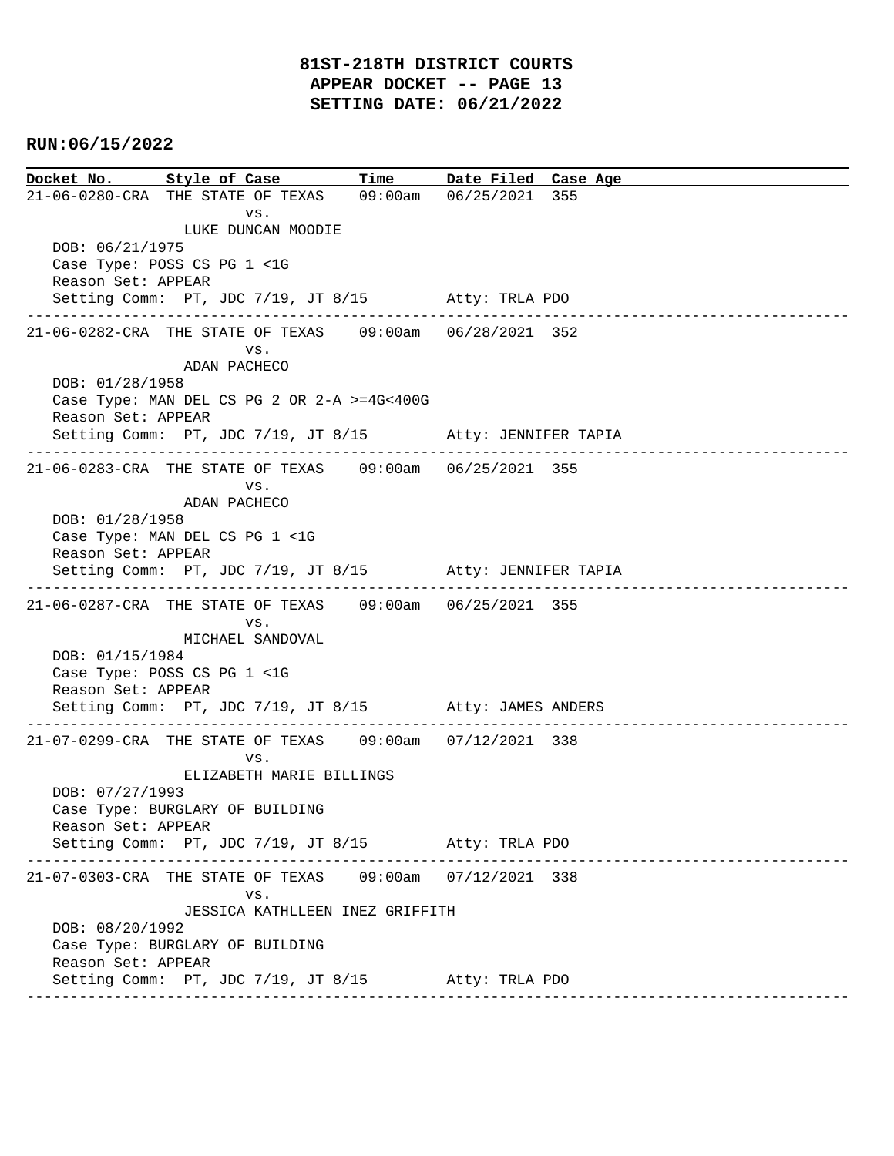**Docket No. Style of Case Time Date Filed Case Age**  21-06-0280-CRA THE STATE OF TEXAS 09:00am 06/25/2021 355 vs. LUKE DUNCAN MOODIE DOB: 06/21/1975 Case Type: POSS CS PG 1 <1G Reason Set: APPEAR Setting Comm: PT, JDC 7/19, JT 8/15 Atty: TRLA PDO ---------------------------------------------------------------------------------------------- 21-06-0282-CRA THE STATE OF TEXAS 09:00am 06/28/2021 352 vs. ADAN PACHECO DOB: 01/28/1958 Case Type: MAN DEL CS PG 2 OR 2-A >=4G<400G Reason Set: APPEAR Setting Comm: PT, JDC 7/19, JT 8/15 Atty: JENNIFER TAPIA ---------------------------------------------------------------------------------------------- 21-06-0283-CRA THE STATE OF TEXAS 09:00am 06/25/2021 355 vs. ADAN PACHECO DOB: 01/28/1958 Case Type: MAN DEL CS PG 1 <1G Reason Set: APPEAR Setting Comm: PT, JDC 7/19, JT 8/15 Atty: JENNIFER TAPIA ---------------------------------------------------------------------------------------------- 21-06-0287-CRA THE STATE OF TEXAS 09:00am 06/25/2021 355 vs. MICHAEL SANDOVAL DOB: 01/15/1984 Case Type: POSS CS PG 1 <1G Reason Set: APPEAR Setting Comm: PT, JDC 7/19, JT 8/15 Atty: JAMES ANDERS ---------------------------------------------------------------------------------------------- 21-07-0299-CRA THE STATE OF TEXAS 09:00am 07/12/2021 338 vs. ELIZABETH MARIE BILLINGS DOB: 07/27/1993 Case Type: BURGLARY OF BUILDING Reason Set: APPEAR Setting Comm: PT, JDC 7/19, JT 8/15 Atty: TRLA PDO ---------------------------------------------------------------------------------------------- 21-07-0303-CRA THE STATE OF TEXAS 09:00am 07/12/2021 338 vs. JESSICA KATHLLEEN INEZ GRIFFITH DOB: 08/20/1992 Case Type: BURGLARY OF BUILDING Reason Set: APPEAR Setting Comm: PT, JDC 7/19, JT 8/15 Atty: TRLA PDO ----------------------------------------------------------------------------------------------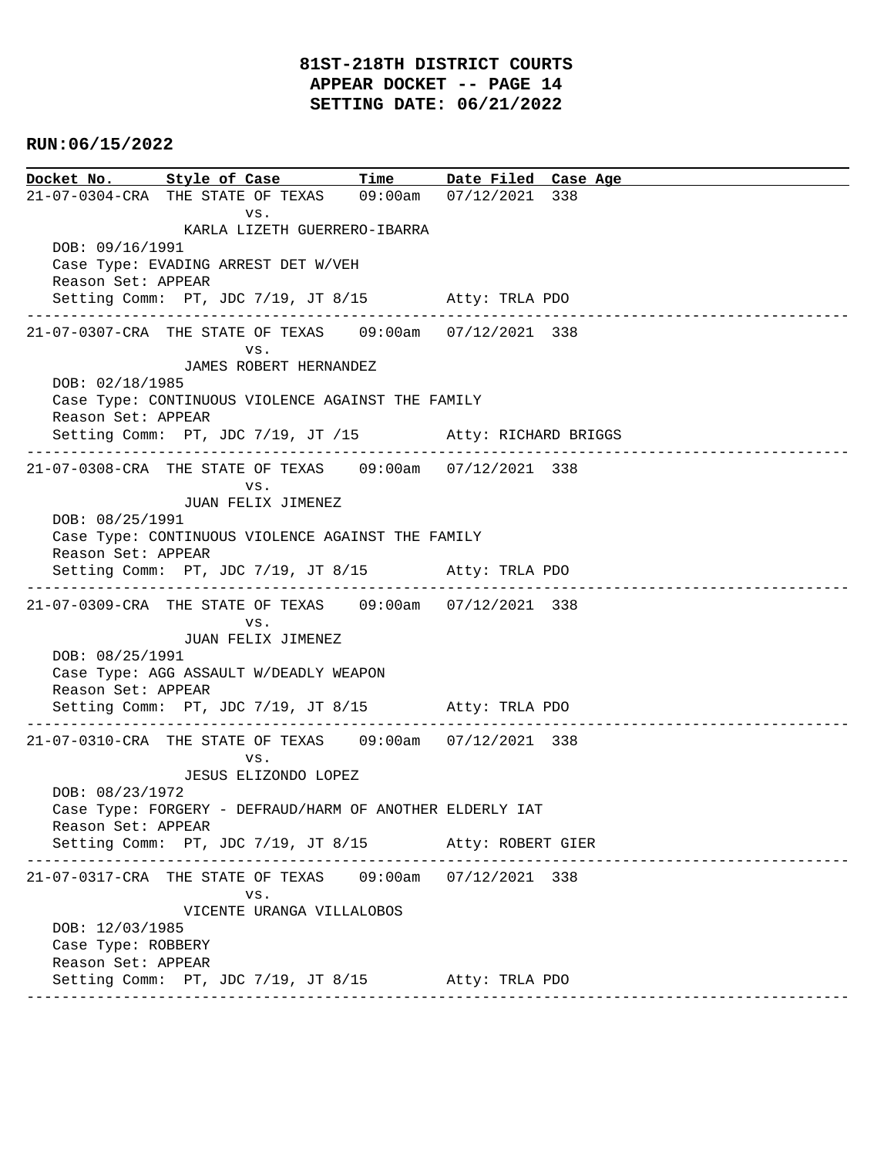**Docket No. Style of Case Time Date Filed Case Age**  21-07-0304-CRA THE STATE OF TEXAS 09:00am 07/12/2021 338 vs. KARLA LIZETH GUERRERO-IBARRA DOB: 09/16/1991 Case Type: EVADING ARREST DET W/VEH Reason Set: APPEAR Setting Comm: PT, JDC 7/19, JT 8/15 Atty: TRLA PDO ---------------------------------------------------------------------------------------------- 21-07-0307-CRA THE STATE OF TEXAS 09:00am 07/12/2021 338 vs. JAMES ROBERT HERNANDEZ DOB: 02/18/1985 Case Type: CONTINUOUS VIOLENCE AGAINST THE FAMILY Reason Set: APPEAR Setting Comm: PT, JDC 7/19, JT /15 Atty: RICHARD BRIGGS ---------------------------------------------------------------------------------------------- 21-07-0308-CRA THE STATE OF TEXAS 09:00am 07/12/2021 338 vs. JUAN FELIX JIMENEZ DOB: 08/25/1991 Case Type: CONTINUOUS VIOLENCE AGAINST THE FAMILY Reason Set: APPEAR Setting Comm: PT, JDC 7/19, JT 8/15 Atty: TRLA PDO ---------------------------------------------------------------------------------------------- 21-07-0309-CRA THE STATE OF TEXAS 09:00am 07/12/2021 338 vs. JUAN FELIX JIMENEZ DOB: 08/25/1991 Case Type: AGG ASSAULT W/DEADLY WEAPON Reason Set: APPEAR Setting Comm: PT, JDC 7/19, JT 8/15 Atty: TRLA PDO ---------------------------------------------------------------------------------------------- 21-07-0310-CRA THE STATE OF TEXAS 09:00am 07/12/2021 338 vs. JESUS ELIZONDO LOPEZ DOB: 08/23/1972 Case Type: FORGERY - DEFRAUD/HARM OF ANOTHER ELDERLY IAT Reason Set: APPEAR Setting Comm: PT, JDC 7/19, JT 8/15 Atty: ROBERT GIER ---------------------------------------------------------------------------------------------- 21-07-0317-CRA THE STATE OF TEXAS 09:00am 07/12/2021 338 vs. VICENTE URANGA VILLALOBOS DOB: 12/03/1985 Case Type: ROBBERY Reason Set: APPEAR Setting Comm: PT, JDC 7/19, JT 8/15 Atty: TRLA PDO ----------------------------------------------------------------------------------------------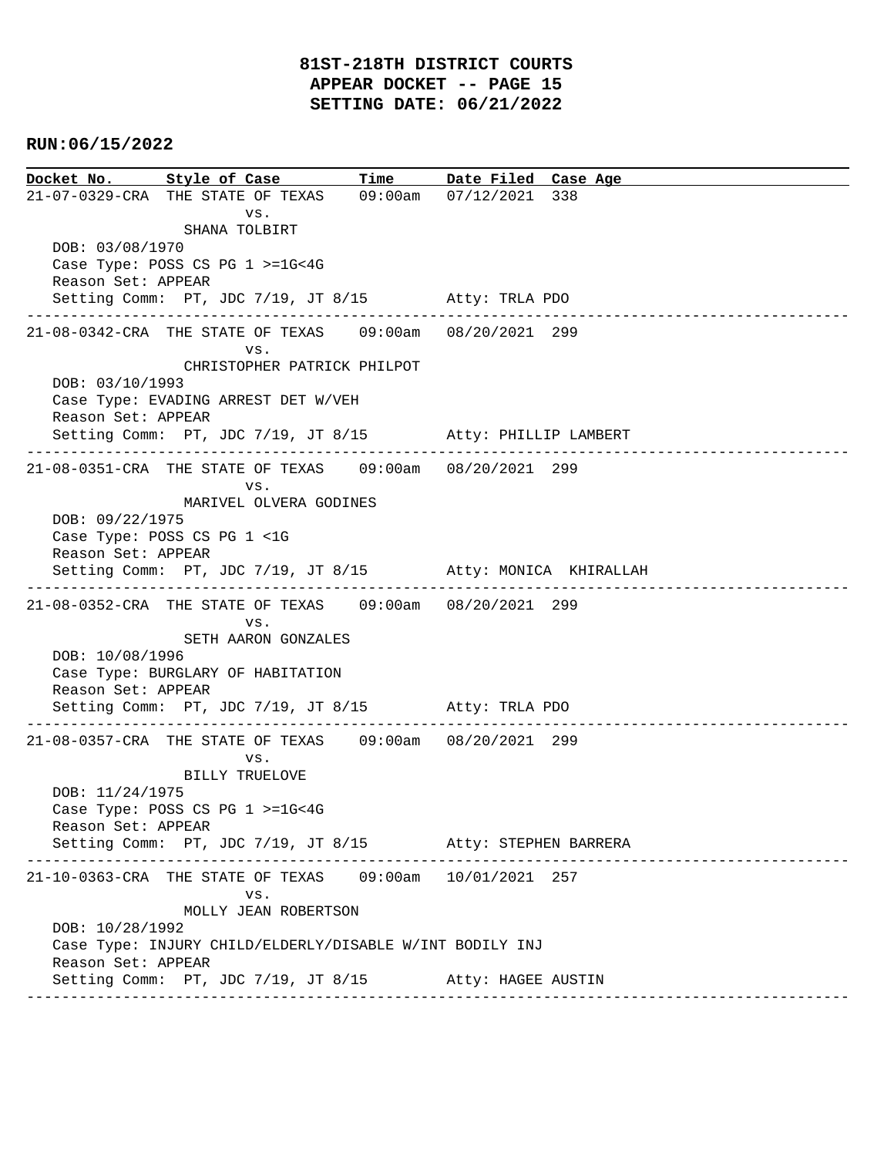**Docket No. Style of Case Time Date Filed Case Age**  21-07-0329-CRA THE STATE OF TEXAS 09:00am 07/12/2021 338 vs. SHANA TOLBIRT DOB: 03/08/1970 Case Type: POSS CS PG 1 >=1G<4G Reason Set: APPEAR Setting Comm: PT, JDC 7/19, JT 8/15 Atty: TRLA PDO ---------------------------------------------------------------------------------------------- 21-08-0342-CRA THE STATE OF TEXAS 09:00am 08/20/2021 299 vs. CHRISTOPHER PATRICK PHILPOT DOB: 03/10/1993 Case Type: EVADING ARREST DET W/VEH Reason Set: APPEAR Setting Comm: PT, JDC 7/19, JT 8/15 Atty: PHILLIP LAMBERT ---------------------------------------------------------------------------------------------- 21-08-0351-CRA THE STATE OF TEXAS 09:00am 08/20/2021 299 vs. MARIVEL OLVERA GODINES DOB: 09/22/1975 Case Type: POSS CS PG 1 <1G Reason Set: APPEAR Setting Comm: PT, JDC 7/19, JT 8/15 Atty: MONICA KHIRALLAH ---------------------------------------------------------------------------------------------- 21-08-0352-CRA THE STATE OF TEXAS 09:00am 08/20/2021 299 vs. SETH AARON GONZALES DOB: 10/08/1996 Case Type: BURGLARY OF HABITATION Reason Set: APPEAR Setting Comm: PT, JDC 7/19, JT 8/15 Atty: TRLA PDO ---------------------------------------------------------------------------------------------- 21-08-0357-CRA THE STATE OF TEXAS 09:00am 08/20/2021 299 vs. BILLY TRUELOVE DOB: 11/24/1975 Case Type: POSS CS PG 1 >=1G<4G Reason Set: APPEAR Setting Comm: PT, JDC 7/19, JT 8/15 Atty: STEPHEN BARRERA ---------------------------------------------------------------------------------------------- 21-10-0363-CRA THE STATE OF TEXAS 09:00am 10/01/2021 257 vs. MOLLY JEAN ROBERTSON DOB: 10/28/1992 Case Type: INJURY CHILD/ELDERLY/DISABLE W/INT BODILY INJ Reason Set: APPEAR Setting Comm: PT, JDC 7/19, JT 8/15 Atty: HAGEE AUSTIN ----------------------------------------------------------------------------------------------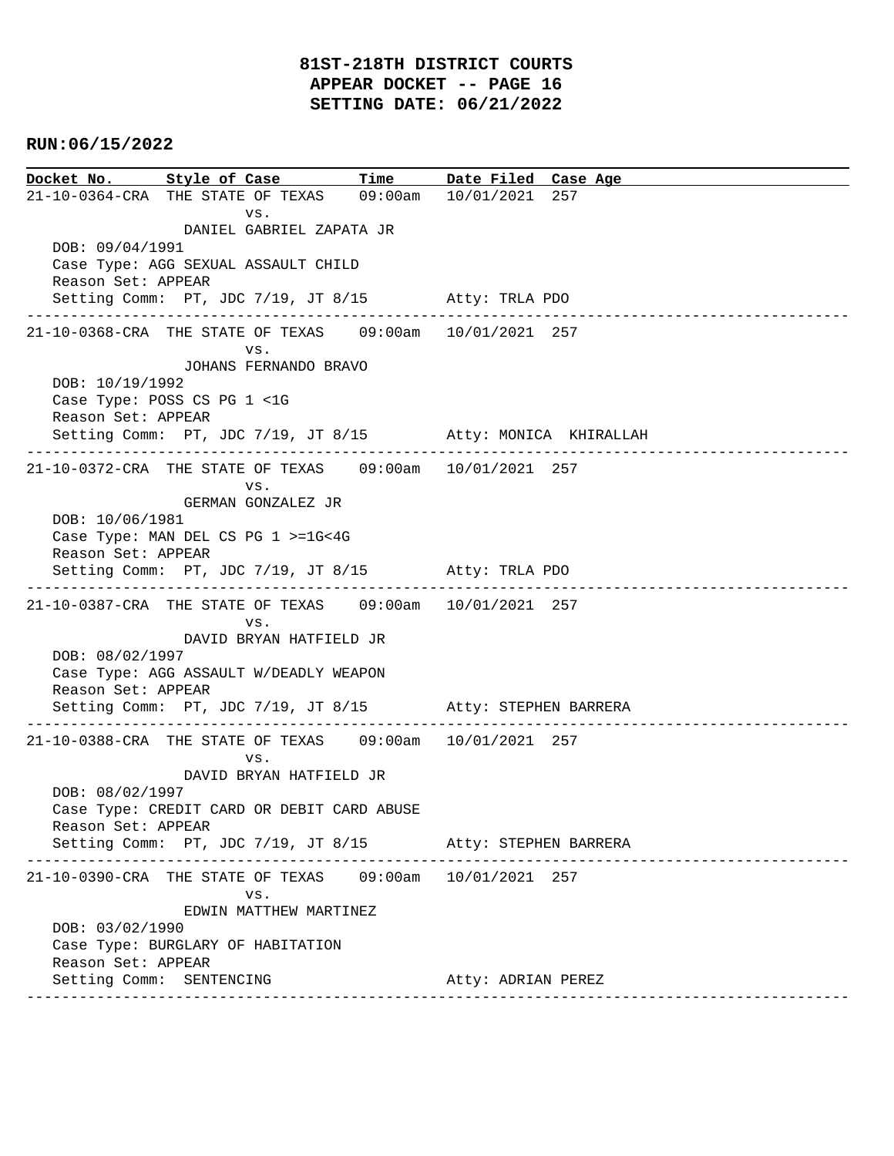**Docket No. Style of Case Time Date Filed Case Age**  21-10-0364-CRA THE STATE OF TEXAS 09:00am 10/01/2021 257 vs. DANIEL GABRIEL ZAPATA JR DOB: 09/04/1991 Case Type: AGG SEXUAL ASSAULT CHILD Reason Set: APPEAR Setting Comm: PT, JDC 7/19, JT 8/15 Atty: TRLA PDO ---------------------------------------------------------------------------------------------- 21-10-0368-CRA THE STATE OF TEXAS 09:00am 10/01/2021 257 vs. JOHANS FERNANDO BRAVO DOB: 10/19/1992 Case Type: POSS CS PG 1 <1G Reason Set: APPEAR Setting Comm: PT, JDC 7/19, JT 8/15 Atty: MONICA KHIRALLAH ---------------------------------------------------------------------------------------------- 21-10-0372-CRA THE STATE OF TEXAS 09:00am 10/01/2021 257 vs. GERMAN GONZALEZ JR DOB: 10/06/1981 Case Type: MAN DEL CS PG 1 >=1G<4G Reason Set: APPEAR Setting Comm: PT, JDC 7/19, JT 8/15 Atty: TRLA PDO ---------------------------------------------------------------------------------------------- 21-10-0387-CRA THE STATE OF TEXAS 09:00am 10/01/2021 257 vs. DAVID BRYAN HATFIELD JR DOB: 08/02/1997 Case Type: AGG ASSAULT W/DEADLY WEAPON Reason Set: APPEAR Setting Comm: PT, JDC 7/19, JT 8/15 Atty: STEPHEN BARRERA ---------------------------------------------------------------------------------------------- 21-10-0388-CRA THE STATE OF TEXAS 09:00am 10/01/2021 257 vs. DAVID BRYAN HATFIELD JR DOB: 08/02/1997 Case Type: CREDIT CARD OR DEBIT CARD ABUSE Reason Set: APPEAR Setting Comm: PT, JDC 7/19, JT 8/15 Atty: STEPHEN BARRERA ---------------------------------------------------------------------------------------------- 21-10-0390-CRA THE STATE OF TEXAS 09:00am 10/01/2021 257 vs. EDWIN MATTHEW MARTINEZ DOB: 03/02/1990 Case Type: BURGLARY OF HABITATION Reason Set: APPEAR Setting Comm: SENTENCING **Atty: ADRIAN PEREZ** ----------------------------------------------------------------------------------------------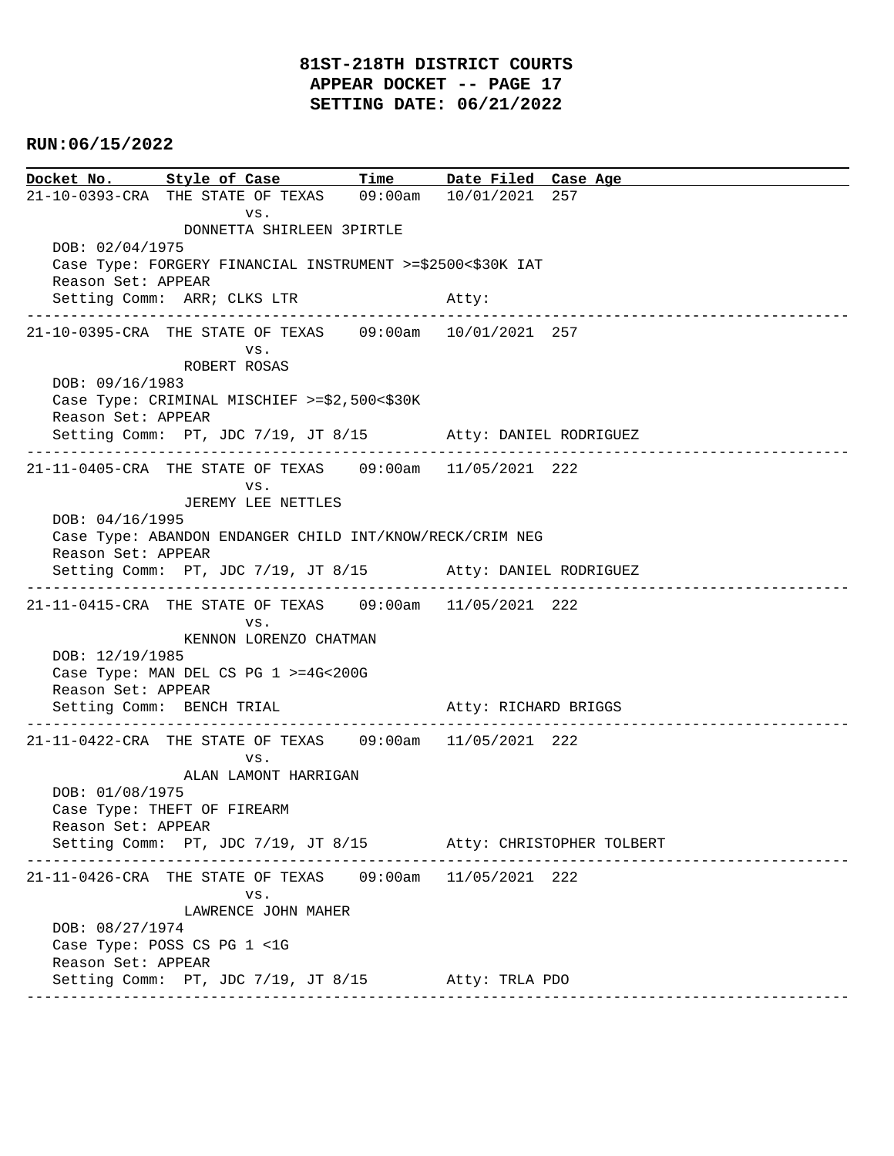# **81ST-218TH DISTRICT COURTS APPEAR DOCKET -- PAGE 17 SETTING DATE: 06/21/2022**

# **RUN:06/15/2022**

**Docket No. Style of Case Time Date Filed Case Age**  21-10-0393-CRA THE STATE OF TEXAS 09:00am 10/01/2021 257 vs. DONNETTA SHIRLEEN 3PIRTLE DOB: 02/04/1975 Case Type: FORGERY FINANCIAL INSTRUMENT >=\$2500<\$30K IAT Reason Set: APPEAR Setting Comm: ARR; CLKS LTR Atty: ---------------------------------------------------------------------------------------------- 21-10-0395-CRA THE STATE OF TEXAS 09:00am 10/01/2021 257 vs. ROBERT ROSAS DOB: 09/16/1983 Case Type: CRIMINAL MISCHIEF >=\$2,500<\$30K Reason Set: APPEAR Setting Comm: PT, JDC 7/19, JT 8/15 Atty: DANIEL RODRIGUEZ ---------------------------------------------------------------------------------------------- 21-11-0405-CRA THE STATE OF TEXAS 09:00am 11/05/2021 222 vs. JEREMY LEE NETTLES DOB: 04/16/1995 Case Type: ABANDON ENDANGER CHILD INT/KNOW/RECK/CRIM NEG Reason Set: APPEAR Setting Comm: PT, JDC 7/19, JT 8/15 Atty: DANIEL RODRIGUEZ ---------------------------------------------------------------------------------------------- 21-11-0415-CRA THE STATE OF TEXAS 09:00am 11/05/2021 222 vs. KENNON LORENZO CHATMAN DOB: 12/19/1985 Case Type: MAN DEL CS PG 1 >=4G<200G Reason Set: APPEAR Setting Comm: BENCH TRIAL Atty: RICHARD BRIGGS ---------------------------------------------------------------------------------------------- 21-11-0422-CRA THE STATE OF TEXAS 09:00am 11/05/2021 222 vs. ALAN LAMONT HARRIGAN DOB: 01/08/1975 Case Type: THEFT OF FIREARM Reason Set: APPEAR Setting Comm: PT, JDC 7/19, JT 8/15 Atty: CHRISTOPHER TOLBERT ---------------------------------------------------------------------------------------------- 21-11-0426-CRA THE STATE OF TEXAS 09:00am 11/05/2021 222 vs. LAWRENCE JOHN MAHER DOB: 08/27/1974 Case Type: POSS CS PG 1 <1G Reason Set: APPEAR Setting Comm: PT, JDC 7/19, JT 8/15 Atty: TRLA PDO ----------------------------------------------------------------------------------------------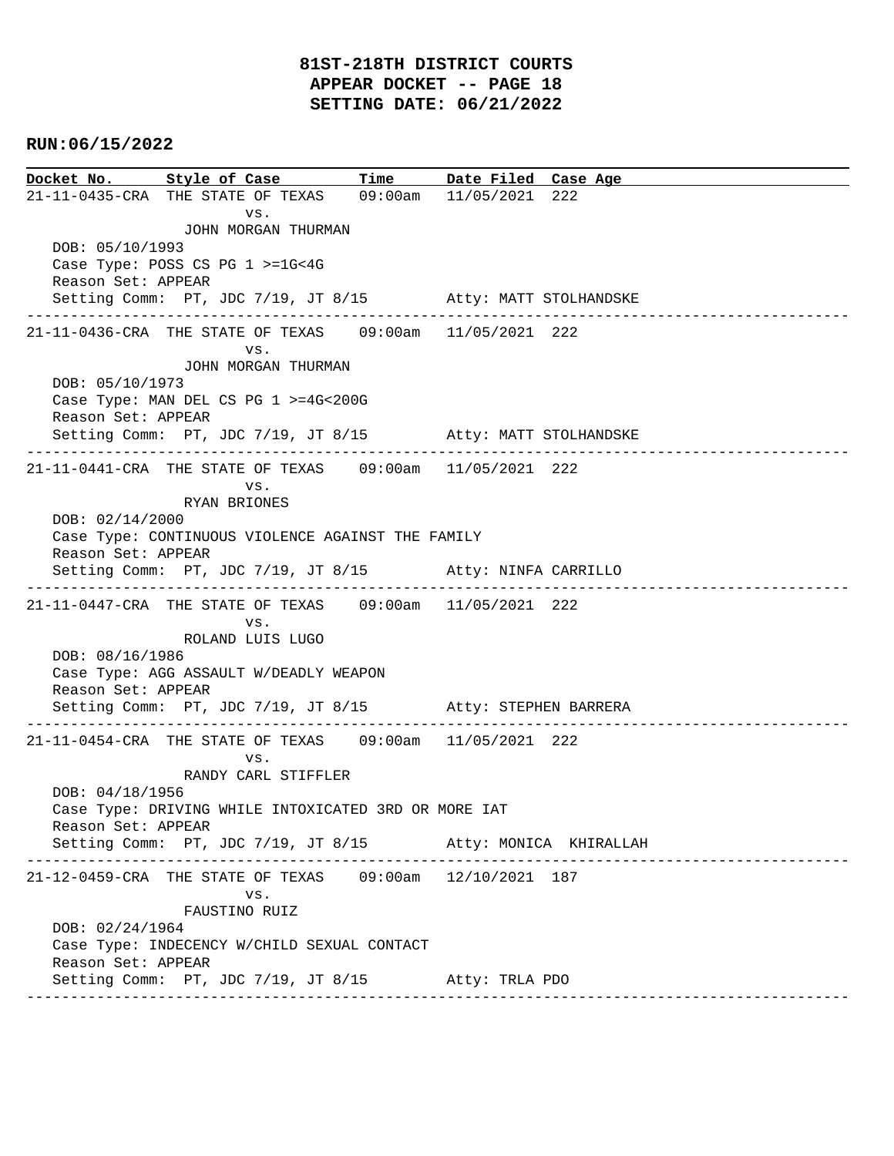**Docket No. Style of Case Time Date Filed Case Age**  21-11-0435-CRA THE STATE OF TEXAS 09:00am 11/05/2021 222 vs. JOHN MORGAN THURMAN DOB: 05/10/1993 Case Type: POSS CS PG 1 >=1G<4G Reason Set: APPEAR Setting Comm: PT, JDC 7/19, JT 8/15 Atty: MATT STOLHANDSKE ---------------------------------------------------------------------------------------------- 21-11-0436-CRA THE STATE OF TEXAS 09:00am 11/05/2021 222 vs. JOHN MORGAN THURMAN DOB: 05/10/1973 Case Type: MAN DEL CS PG 1 >=4G<200G Reason Set: APPEAR Setting Comm: PT, JDC 7/19, JT 8/15 Atty: MATT STOLHANDSKE ---------------------------------------------------------------------------------------------- 21-11-0441-CRA THE STATE OF TEXAS 09:00am 11/05/2021 222 vs. RYAN BRIONES DOB: 02/14/2000 Case Type: CONTINUOUS VIOLENCE AGAINST THE FAMILY Reason Set: APPEAR Setting Comm: PT, JDC 7/19, JT 8/15 Atty: NINFA CARRILLO ---------------------------------------------------------------------------------------------- 21-11-0447-CRA THE STATE OF TEXAS 09:00am 11/05/2021 222 vs. ROLAND LUIS LUGO DOB: 08/16/1986 Case Type: AGG ASSAULT W/DEADLY WEAPON Reason Set: APPEAR Setting Comm: PT, JDC 7/19, JT 8/15 Atty: STEPHEN BARRERA ---------------------------------------------------------------------------------------------- 21-11-0454-CRA THE STATE OF TEXAS 09:00am 11/05/2021 222 vs. RANDY CARL STIFFLER DOB: 04/18/1956 Case Type: DRIVING WHILE INTOXICATED 3RD OR MORE IAT Reason Set: APPEAR Setting Comm: PT, JDC 7/19, JT 8/15 Atty: MONICA KHIRALLAH ---------------------------------------------------------------------------------------------- 21-12-0459-CRA THE STATE OF TEXAS 09:00am 12/10/2021 187 vs. FAUSTINO RUIZ DOB: 02/24/1964 Case Type: INDECENCY W/CHILD SEXUAL CONTACT Reason Set: APPEAR Setting Comm: PT, JDC 7/19, JT 8/15 Atty: TRLA PDO ----------------------------------------------------------------------------------------------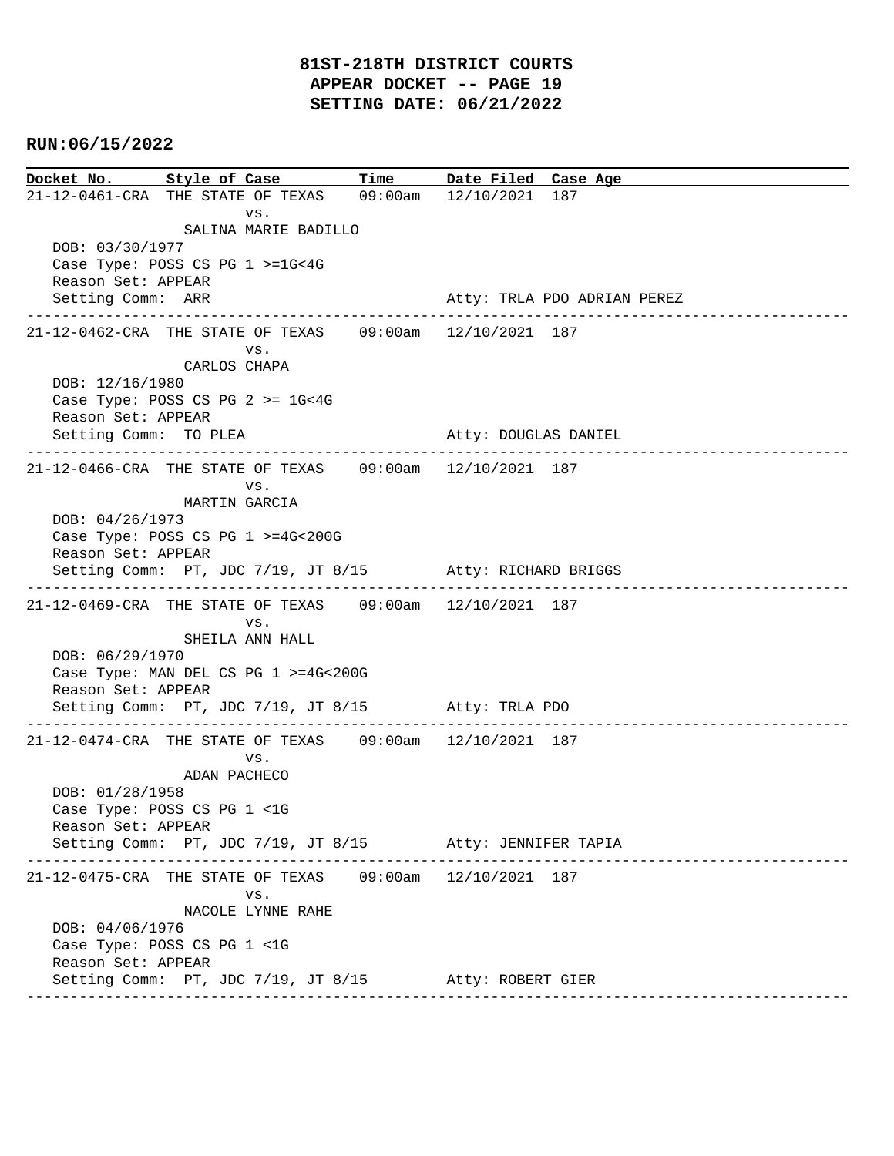**Docket No. Style of Case Time Date Filed Case Age**  21-12-0461-CRA THE STATE OF TEXAS 09:00am 12/10/2021 187 vs. SALINA MARIE BADILLO DOB: 03/30/1977 Case Type: POSS CS PG 1 >=1G<4G Reason Set: APPEAR Setting Comm: ARR Atty: TRLA PDO ADRIAN PEREZ ---------------------------------------------------------------------------------------------- 21-12-0462-CRA THE STATE OF TEXAS 09:00am 12/10/2021 187 vs. CARLOS CHAPA DOB: 12/16/1980 Case Type: POSS CS PG 2 >= 1G<4G Reason Set: APPEAR Setting Comm: TO PLEA Atty: DOUGLAS DANIEL ---------------------------------------------------------------------------------------------- 21-12-0466-CRA THE STATE OF TEXAS 09:00am 12/10/2021 187 vs. MARTIN GARCIA DOB: 04/26/1973 Case Type: POSS CS PG 1 >=4G<200G Reason Set: APPEAR Setting Comm: PT, JDC 7/19, JT 8/15 Atty: RICHARD BRIGGS ---------------------------------------------------------------------------------------------- 21-12-0469-CRA THE STATE OF TEXAS 09:00am 12/10/2021 187 vs. SHEILA ANN HALL DOB: 06/29/1970 Case Type: MAN DEL CS PG 1 >=4G<200G Reason Set: APPEAR Setting Comm: PT, JDC 7/19, JT 8/15 Atty: TRLA PDO ---------------------------------------------------------------------------------------------- 21-12-0474-CRA THE STATE OF TEXAS 09:00am 12/10/2021 187 vs. ADAN PACHECO DOB: 01/28/1958 Case Type: POSS CS PG 1 <1G Reason Set: APPEAR Setting Comm: PT, JDC 7/19, JT 8/15 Atty: JENNIFER TAPIA ---------------------------------------------------------------------------------------------- 21-12-0475-CRA THE STATE OF TEXAS 09:00am 12/10/2021 187 vs. NACOLE LYNNE RAHE DOB: 04/06/1976 Case Type: POSS CS PG 1 <1G Reason Set: APPEAR Setting Comm: PT, JDC 7/19, JT 8/15 Atty: ROBERT GIER ----------------------------------------------------------------------------------------------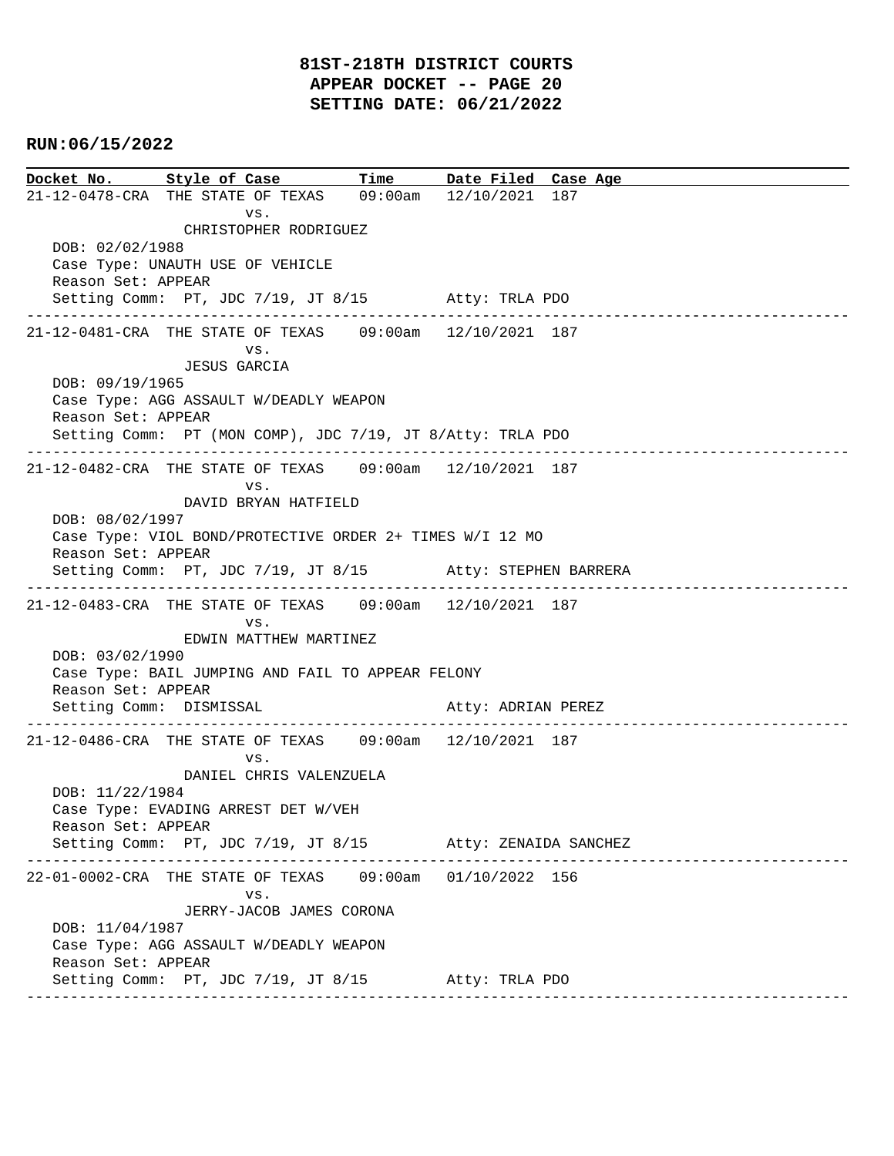**Docket No. Style of Case Time Date Filed Case Age**  21-12-0478-CRA THE STATE OF TEXAS 09:00am 12/10/2021 187 vs. CHRISTOPHER RODRIGUEZ DOB: 02/02/1988 Case Type: UNAUTH USE OF VEHICLE Reason Set: APPEAR Setting Comm: PT, JDC 7/19, JT 8/15 Atty: TRLA PDO ---------------------------------------------------------------------------------------------- 21-12-0481-CRA THE STATE OF TEXAS 09:00am 12/10/2021 187 vs. JESUS GARCIA DOB: 09/19/1965 Case Type: AGG ASSAULT W/DEADLY WEAPON Reason Set: APPEAR Setting Comm: PT (MON COMP), JDC 7/19, JT 8/Atty: TRLA PDO ---------------------------------------------------------------------------------------------- 21-12-0482-CRA THE STATE OF TEXAS 09:00am 12/10/2021 187 vs. DAVID BRYAN HATFIELD DOB: 08/02/1997 Case Type: VIOL BOND/PROTECTIVE ORDER 2+ TIMES W/I 12 MO Reason Set: APPEAR Setting Comm: PT, JDC 7/19, JT 8/15 Atty: STEPHEN BARRERA ---------------------------------------------------------------------------------------------- 21-12-0483-CRA THE STATE OF TEXAS 09:00am 12/10/2021 187 vs. EDWIN MATTHEW MARTINEZ DOB: 03/02/1990 Case Type: BAIL JUMPING AND FAIL TO APPEAR FELONY Reason Set: APPEAR Setting Comm: DISMISSAL Atty: ADRIAN PEREZ ---------------------------------------------------------------------------------------------- 21-12-0486-CRA THE STATE OF TEXAS 09:00am 12/10/2021 187 vs. DANIEL CHRIS VALENZUELA DOB: 11/22/1984 Case Type: EVADING ARREST DET W/VEH Reason Set: APPEAR Setting Comm: PT, JDC 7/19, JT 8/15 Atty: ZENAIDA SANCHEZ ---------------------------------------------------------------------------------------------- 22-01-0002-CRA THE STATE OF TEXAS 09:00am 01/10/2022 156 vs. JERRY-JACOB JAMES CORONA DOB: 11/04/1987 Case Type: AGG ASSAULT W/DEADLY WEAPON Reason Set: APPEAR Setting Comm: PT, JDC 7/19, JT 8/15 Atty: TRLA PDO ----------------------------------------------------------------------------------------------